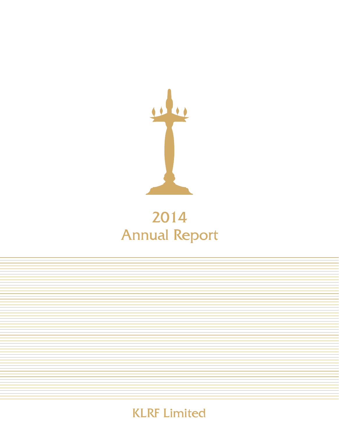

# 2014 **Annual Report**

**KLRF Limited**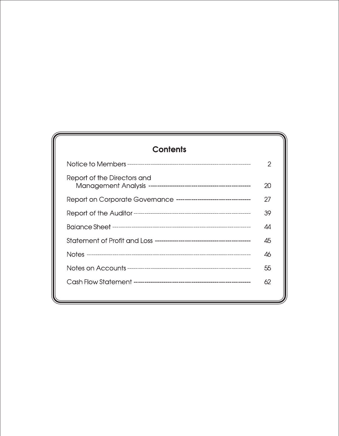| Contents                                                   |    |
|------------------------------------------------------------|----|
|                                                            | 2  |
| Report of the Directors and                                | 20 |
| Report on Corporate Governance --------------------------- | 27 |
|                                                            | 39 |
|                                                            | 44 |
|                                                            | 45 |
|                                                            | 46 |
|                                                            | 55 |
|                                                            | 62 |
|                                                            |    |

Í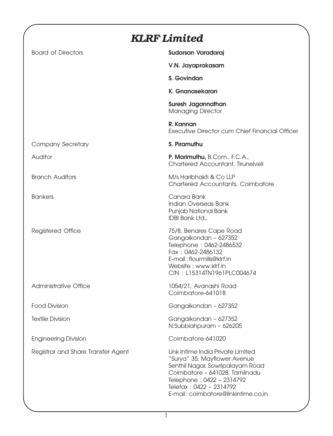|                                    | <b>KLRF Limited</b>                                                                                                                                                                                                                    |
|------------------------------------|----------------------------------------------------------------------------------------------------------------------------------------------------------------------------------------------------------------------------------------|
| <b>Board of Directors</b>          | Sudarsan Varadaraj                                                                                                                                                                                                                     |
|                                    | V.N. Jayaprakasam                                                                                                                                                                                                                      |
|                                    | S. Govindan                                                                                                                                                                                                                            |
|                                    | K. Gnanasekaran                                                                                                                                                                                                                        |
|                                    | Suresh Jagannathan<br><b>Managing Director</b>                                                                                                                                                                                         |
|                                    | R. Kannan<br>Executive Director cum Chief Financial Officer                                                                                                                                                                            |
| Company Secretary                  | S. Piramuthu                                                                                                                                                                                                                           |
| Auditor                            | P. Marimuthu, B.Com., F.C.A.,<br>Chartered Accountant, Tirunelveli                                                                                                                                                                     |
| <b>Branch Auditors</b>             | M/s Haribhakti & Co LLP<br>Chartered Accountants, Coimbatore                                                                                                                                                                           |
| <b>Bankers</b>                     | Canara Bank<br>Indian Overseas Bank<br>Punjab National Bank<br>IDBI Bank Ltd.,                                                                                                                                                         |
| Registered Office                  | 75/8, Benares Cape Road<br>Gangaikondan - 627352<br>Telephone: 0462-2486532<br>Fax: 0462-2486132<br>E-mail: flourmills@klrf.in<br>Website: www.klrf.in<br>CIN: L15314TN1961PLC004674                                                   |
| Administrative Office              | 1054/21, Avanashi Road<br>Coimbatore-641018                                                                                                                                                                                            |
| <b>Food Division</b>               | Gangaikondan - 627352                                                                                                                                                                                                                  |
| <b>Textile Division</b>            | Gangaikondan - 627352<br>N.Subbiahpuram - 626205                                                                                                                                                                                       |
| <b>Engineering Division</b>        | Coimbatore-641020                                                                                                                                                                                                                      |
| Registrar and Share Transfer Agent | Link Intime India Private Limited<br>"Surya" 35, Mayflower Avenue<br>Senthil Nagar, Sowripalayam Road<br>Coimbatore - 641028, Tamilnadu<br>Telephone: 0422 - 2314792<br>Telefax: 0422 - 2314792<br>E-mail: coimbatore@linkintime.co.in |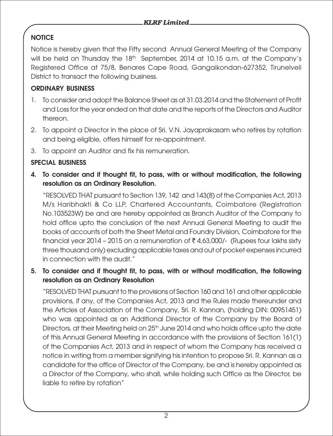# **NOTICE**

Notice is hereby given that the Fifty second Annual General Meeting of the Company will be held on Thursday the  $18<sup>th</sup>$  September, 2014 at 10.15 a.m. at the Company's Registered Office at 75/8, Benares Cape Road, Gangaikondan-627352, Tirunelveli District to transact the following business.

#### **ORDINARY BUSINESS**

- 1. To consider and adopt the Balance Sheet as at 31.03.2014 and the Statement of Profit and Loss for the year ended on that date and the reports of the Directors and Auditor thereon.
- 2. To appoint a Director in the place of Sri. V.N. Jayaprakasam who retires by rotation and being eligible, offers himself for re-appointment.
- 3. To appoint an Auditor and fix his remuneration.

### **SPECIAL BUSINESS**

**4. To consider and if thought fit, to pass, with or without modification, the following resolution as an Ordinary Resolution.**

"RESOLVED THAT pursuant to Section 139, 142 and 143(8) of the Companies Act, 2013 M/s Haribhakti & Co LLP, Chartered Accountants, Coimbatore (Registration No.103523W) be and are hereby appointed as Branch Auditor of the Company to hold office upto the conclusion of the next Annual General Meeting to audit the books of accounts of both the Sheet Metal and Foundry Division, Coimbatore for the financial year 2014 - 2015 on a remuneration of  $\bar{\tau}$  4,63,000/- (Rupees four lakhs sixty three thousand only) excluding applicable taxes and out of pocket expenses incurred in connection with the audit."

#### **5. To consider and if thought fit, to pass, with or without modification, the following resolution as an Ordinary Resolution**

"RESOLVED THAT pursuant to the provisions of Section 160 and 161 and other applicable provisions, if any, of the Companies Act, 2013 and the Rules made thereunder and the Articles of Association of the Company, Sri. R. Kannan, (holding DIN: 00951451) who was appointed as an Additional Director of the Company by the Board of Directors, at their Meeting held on  $25<sup>th</sup>$  June 2014 and who holds office upto the date of this Annual General Meeting in accordance with the provisions of Section 161(1) of the Companies Act, 2013 and in respect of whom the Company has received a notice in writing from a member signifying his intention to propose Sri. R. Kannan as a candidate for the office of Director of the Company, be and is hereby appointed as a Director of the Company, who shall, while holding such Office as the Director, be liable to retire by rotation"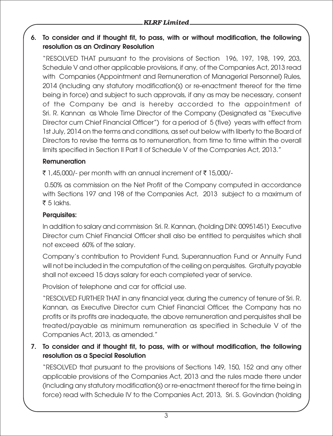#### **6. To consider and if thought fit, to pass, with or without modification, the following resolution as an Ordinary Resolution**

"RESOLVED THAT pursuant to the provisions of Section 196, 197, 198, 199, 203, Schedule V and other applicable provisions, if any, of the Companies Act, 2013 read with Companies (Appointment and Remuneration of Managerial Personnel) Rules, 2014 (including any statutory modification(s) or re-enactment thereof for the time being in force) and subject to such approvals, if any as may be necessary, consent of the Company be and is hereby accorded to the appointment of Sri. R. Kannan as Whole Time Director of the Company (Designated as "Executive Director cum Chief Financial Officer") for a period of 5 (five) years with effect from 1st July, 2014 on the terms and conditions, as set out below with liberty to the Board of Directors to revise the terms as to remuneration, from time to time within the overall limits specified in Section II Part II of Schedule V of the Companies Act, 2013."

#### **Remuneration**

 $\bar{\tau}$  1,45,000/- per month with an annual increment of  $\bar{\tau}$  15,000/-

 0.50% as commission on the Net Profit of the Company computed in accordance with Sections 197 and 198 of the Companies Act, 2013 subject to a maximum of  $\bar{z}$  5 lakhs.

#### **Perquisites:**

In addition to salary and commission Sri. R. Kannan, (holding DIN: 00951451) Executive Director cum Chief Financial Officer shall also be entitled to perquisites which shall not exceed 60% of the salary.

Company's contribution to Provident Fund, Superannuation Fund or Annuity Fund will not be included in the computation of the ceiling on perquisites. Gratuity payable shall not exceed 15 days salary for each completed year of service.

Provision of telephone and car for official use.

"RESOLVED FURTHER THAT in any financial year, during the currency of tenure of Sri. R. Kannan, as Executive Director cum Chief Financial Officer, the Company has no profits or its profits are inadequate, the above remuneration and perquisites shall be treated/payable as minimum remuneration as specified in Schedule V of the Companies Act, 2013, as amended."

#### **7. To consider and if thought fit, to pass, with or without modification, the following resolution as a Special Resolution**

"RESOLVED that pursuant to the provisions of Sections 149, 150, 152 and any other applicable provisions of the Companies Act, 2013 and the rules made there under (including any statutory modification(s) or re-enactment thereof for the time being in force) read with Schedule IV to the Companies Act, 2013, Sri. S. Govindan (holding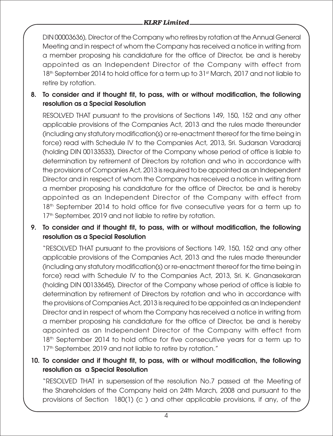DIN 00003636), Director of the Company who retires by rotation at the Annual General Meeting and in respect of whom the Company has received a notice in writing from a member proposing his candidature for the office of Director, be and is hereby appointed as an Independent Director of the Company with effect from 18<sup>th</sup> September 2014 to hold office for a term up to 31<sup>st</sup> March, 2017 and not liable to retire by rotation.

#### **8. To consider and if thought fit, to pass, with or without modification, the following resolution as a Special Resolution**

RESOLVED THAT pursuant to the provisions of Sections 149, 150, 152 and any other applicable provisions of the Companies Act, 2013 and the rules made thereunder (including any statutory modification(s) or re-enactment thereof for the time being in force) read with Schedule IV to the Companies Act, 2013, Sri. Sudarsan Varadaraj (holding DIN 00133533), Director of the Company whose period of office is liable to determination by retirement of Directors by rotation and who in accordance with the provisions of Companies Act, 2013 is required to be appointed as an Independent Director and in respect of whom the Company has received a notice in writing from a member proposing his candidature for the office of Director, be and is hereby appointed as an Independent Director of the Company with effect from 18<sup>th</sup> September 2014 to hold office for five consecutive years for a term up to 17<sup>th</sup> September, 2019 and not liable to retire by rotation.

#### **9. To consider and if thought fit, to pass, with or without modification, the following resolution as a Special Resolution**

"RESOLVED THAT pursuant to the provisions of Sections 149, 150, 152 and any other applicable provisions of the Companies Act, 2013 and the rules made thereunder (including any statutory modification(s) or re-enactment thereof for the time being in force) read with Schedule IV to the Companies Act, 2013, Sri. K. Gnanasekaran (holding DIN 00133645), Director of the Company whose period of office is liable to determination by retirement of Directors by rotation and who in accordance with the provisions of Companies Act, 2013 is required to be appointed as an Independent Director and in respect of whom the Company has received a notice in writing from a member proposing his candidature for the office of Director, be and is hereby appointed as an Independent Director of the Company with effect from 18<sup>th</sup> September 2014 to hold office for five consecutive years for a term up to 17<sup>th</sup> September, 2019 and not liable to retire by rotation."

#### **10. To consider and if thought fit, to pass, with or without modification, the following resolution as a Special Resolution**

"RESOLVED THAT in supersession of the resolution No.7 passed at the Meeting of the Shareholders of the Company held on 24th March, 2008 and pursuant to the provisions of Section 180(1) (c ) and other applicable provisions, if any, of the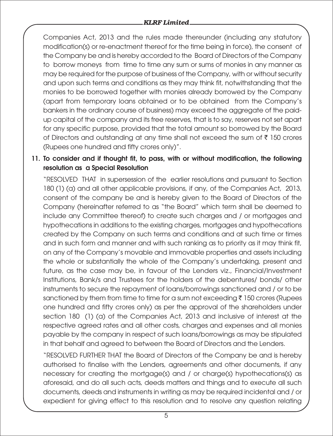Companies Act, 2013 and the rules made thereunder (including any statutory modification(s) or re-enactment thereof for the time being in force), the consent of the Company be and is hereby accorded to the Board of Directors of the Company to borrow moneys from time to time any sum or sums of monies in any manner as may be required for the purpose of business of the Company, with or without security and upon such terms and conditions as they may think fit, notwithstanding that the monies to be borrowed together with monies already borrowed by the Company (apart from temporary loans obtained or to be obtained from the Company's bankers in the ordinary course of business) may exceed the aggregate of the paidup capital of the company and its free reserves, that is to say, reserves not set apart for any specific purpose, provided that the total amount so borrowed by the Board of Directors and outstanding at any time shall not exceed the sum of  $\bar{\tau}$  150 crores (Rupees one hundred and fifty crores only)".

#### **11. To consider and if thought fit, to pass, with or without modification, the following resolution as a Special Resolution**

"RESOLVED THAT in supersession of the earlier resolutions and pursuant to Section 180 (1) (a) and all other applicable provisions, if any, of the Companies Act, 2013, consent of the company be and is hereby given to the Board of Directors of the Company (hereinafter referred to as "the Board" which term shall be deemed to include any Committee thereof) to create such charges and / or mortgages and hypothecations in additions to the existing charges, mortgages and hypothecations created by the Company on such terms and conditions and at such time or times and in such form and manner and with such ranking as to priority as it may think fit, on any of the Company's movable and immovable properties and assets including the whole or substantially the whole of the Company's undertaking, present and future, as the case may be, in favour of the Lenders viz., Financial/Investment Institutions, Bank/s and Trustees for the holders of the debentures/ bonds/ other instruments to secure the repayment of loans/borrowings sanctioned and / or to be sanctioned by them from time to time for a sum not exceeding  $\bar{\tau}$  150 crores (Rupees one hundred and fifty crores only) as per the approval of the shareholders under section 180 (1) (a) of the Companies Act, 2013 and inclusive of interest at the respective agreed rates and all other costs, charges and expenses and all monies payable by the company in respect of such loans/borrowings as may be stipulated in that behalf and agreed to between the Board of Directors and the Lenders.

"RESOLVED FURTHER THAT the Board of Directors of the Company be and is hereby authorised to finalise with the Lenders, agreements and other documents, if any necessary for creating the mortgage(s) and / or charge(s) hypothecations(s) as aforesaid, and do all such acts, deeds matters and things and to execute all such documents, deeds and instruments in writing as may be required incidental and / or expedient for giving effect to this resolution and to resolve any question relating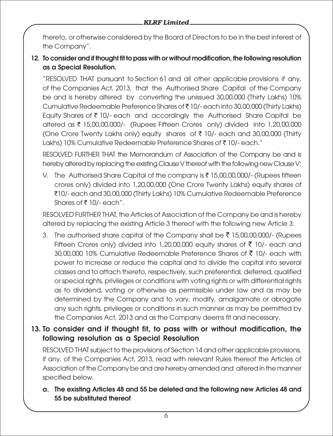thereto, or otherwise considered by the Board of Directors to be in the best interest of the Company".

#### **12. To consider and if thought fit to pass with or without modification, the following resolution as a Special Resolution.**

"RESOLVED THAT pursuant to Section 61 and all other applicable provisions if any, of the Companies Act, 2013, that the Authorised Share Capital of the Company be and is hereby altered by converting the unissued 30,00,000 (Thirty Lakhs) 10% Cumulative Redeemable Preference Shares of ₹10/- each into 30,00,000 (Thirty Lakhs) Equity Shares of  $\bar{\tau}$  10/- each and accordingly the Authorised Share Capital be altered as  $\bar{\tau}$  15,00,00,000/- (Rupees Fifteen Crores only) divided into 1,20,00,000 (One Crore Twenty Lakhs only) equity shares of  $\bar{\tau}$  10/- each and 30,00,000 (Thirty Lakhs) 10% Cumulative Redeemable Preference Shares of ₹10/- each."

RESOLVED FURTHER THAT the Memorandum of Association of the Company be and is hereby altered by replacing the existing Clause V thereof with the following new Clause V:

V. The Authorised Share Capital of the company is  $\bar{\tau}$  15,00,00,000/- (Rupees fifteen crores only) divided into 1,20,00,000 (One Crore Twenty Lakhs) equity shares of `10/- each and 30,00,000 (Thirty Lakhs) 10% Cumulative Redeemable Preference Shares of  $\bar{\tau}$  10/- each".

RESOLVED FURTHER THAT, the Articles of Association of the Company be and is hereby altered by replacing the existing Article 3 thereof with the following new Article 3:

3. The authorised share capital of the Company shall be  $\bar{\tau}$  15,00,00,000/- (Rupees Fifteen Crores only) divided into 1,20,00,000 equity shares of  $\bar{\tau}$  10/- each and 30,00,000 10% Cumulative Redeemable Preference Shares of  $\bar{\tau}$  10/- each with power to increase or reduce the capital and to divide the capital into several classes and to attach thereto, respectively, such preferential, deferred, qualified or special rights, privileges or conditions with voting rights or with differential rights as to dividend, voting or otherwise as permissible under law and as may be determined by the Company and to vary, modify, amalgamate or abrogate any such rights, privileges or conditions in such manner as may be permitted by the Companies Act, 2013 and as the Company deems fit and necessary.

#### **13. To consider and if thought fit, to pass with or without modification, the following resolution as a Special Resolution**

RESOLVED THAT subject to the provisions of Section 14 and other applicable provisions, if any, of the Companies Act, 2013, read with relevant Rules thereof the Articles of Association of the Company be and are hereby amended and altered in the manner specified below.

#### **a. The existing Articles 48 and 55 be deleted and the following new Articles 48 and 55 be substituted thereof**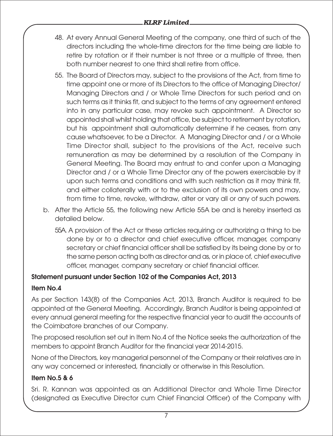- 48. At every Annual General Meeting of the company, one third of such of the directors including the whole-time directors for the time being are liable to retire by rotation or if their number is not three or a multiple of three, then both number nearest to one third shall retire from office.
- 55. The Board of Directors may, subject to the provisions of the Act, from time to time appoint one or more of its Directors to the office of Managing Director/ Managing Directors and / or Whole Time Directors for such period and on such terms as it thinks fit, and subject to the terms of any agreement entered into in any particular case, may revoke such appointment. A Director so appointed shall whilst holding that office, be subject to retirement by rotation, but his appointment shall automatically determine if he ceases, from any cause whatsoever, to be a Director. A Managing Director and / or a Whole Time Director shall, subject to the provisions of the Act, receive such remuneration as may be determined by a resolution of the Company in General Meeting. The Board may entrust to and confer upon a Managing Director and / or a Whole Time Director any of the powers exercisable by it upon such terms and conditions and with such restriction as it may think fit, and either collaterally with or to the exclusion of its own powers and may, from time to time, revoke, withdraw, alter or vary all or any of such powers.
- b. After the Article 55, the following new Article 55A be and is hereby inserted as detailed below.
	- 55A. A provision of the Act or these articles requiring or authorizing a thing to be done by or to a director and chief executive officer, manager, company secretary or chief financial officer shall be satisfied by its being done by or to the same person acting both as director and as, or in place of, chief executive officer, manager, company secretary or chief financial officer.

#### **Statement pursuant under Section 102 of the Companies Act, 2013**

#### **Item No.4**

As per Section 143(8) of the Companies Act, 2013, Branch Auditor is required to be appointed at the General Meeting. Accordingly, Branch Auditor is being appointed at every annual general meeting for the respective financial year to audit the accounts of the Coimbatore branches of our Company.

The proposed resolution set out in Item No.4 of the Notice seeks the authorization of the members to appoint Branch Auditor for the financial year 2014-2015.

None of the Directors, key managerial personnel of the Company or their relatives are in any way concerned or interested, financially or otherwise in this Resolution.

#### **Item No.5 & 6**

Sri. R. Kannan was appointed as an Additional Director and Whole Time Director (designated as Executive Director cum Chief Financial Officer) of the Company with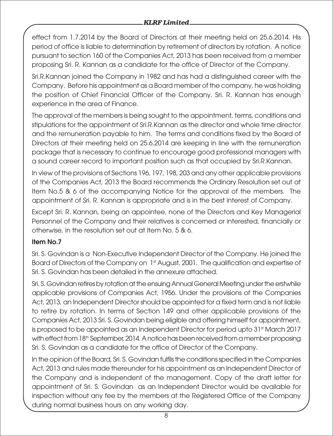effect from 1.7.2014 by the Board of Directors at their meeting held on 25.6.2014. His period of office is liable to determination by retirement of directors by rotation. A notice pursuant to section 160 of the Companies Act, 2013 has been received from a member proposing Sri. R. Kannan as a candidate for the office of Director of the Company.

Sri.R.Kannan joined the Company in 1982 and has had a distinguished career with the Company. Before his appointment as a Board member of the company, he was holding the position of Chief Financial Officer of the Company. Sri. R. Kannan has enough experience in the area of Finance.

The approval of the members is being sought to the appointment, terms, conditions and stipulations for the appointment of Sri.R.Kannan as the director and whole time director and the remuneration payable to him. The terms and conditions fixed by the Board of Directors at their meeting held on 25.6.2014 are keeping in line with the remuneration package that is necessary to continue to encourage good professional managers with a sound career record to important position such as that occupied by Sri.R.Kannan.

In view of the provisions of Sections 196, 197, 198, 203 and any other applicable provisions of the Companies Act, 2013 the Board recommends the Ordinary Resolution set out at Item No.5 & 6 of the accompanying Notice for the approval of the members. The appointment of Sri. R. Kannan is appropriate and is in the best interest of Company.

Except Sri. R. Kannan, being an appointee, none of the Directors and Key Managerial Personnel of the Company and their relatives is concerned or interested, financially or otherwise, in the resolution set out at Item No. 5 & 6.

#### **Item No.7**

Sri. S. Govindan is a Non-Executive Independent Director of the Company. He joined the Board of Directors of the Company on 1st August, 2001. The qualification and expertise of Sri. S. Govindan has been detailed in the annexure attached.

Sri. S. Govindan retires by rotation at the ensuing Annual General Meeting under the erstwhile applicable provisions of Companies Act, 1956. Under the provisions of the Companies Act, 2013, an Independent Director should be appointed for a fixed term and is not liable to retire by rotation. In terms of Section 149 and other applicable provisions of the Companies Act, 2013 Sri. S. Govindan being eligible and offering himself for appointment, is proposed to be appointed as an Independent Director for period upto  $31<sup>st</sup>$  March 2017 with effect from 18th September, 2014. A notice has been received from a member proposing Sri. S. Govindan as a candidate for the office of Director of the Company.

In the opinion of the Board, Sri. S. Govindan fulfils the conditions specified in the Companies Act, 2013 and rules made thereunder for his appointment as an Independent Director of the Company and is independent of the management. Copy of the draft letter for appointment of Sri. S. Govindan as an Independent Director would be available for inspection without any fee by the members at the Registered Office of the Company during normal business hours on any working day.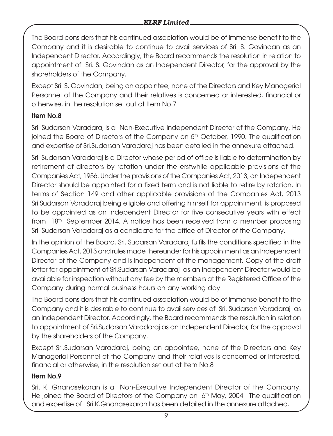The Board considers that his continued association would be of immense benefit to the Company and it is desirable to continue to avail services of Sri. S. Govindan as an Independent Director. Accordingly, the Board recommends the resolution in relation to appointment of Sri. S. Govindan as an Independent Director, for the approval by the shareholders of the Company.

Except Sri. S. Govindan, being an appointee, none of the Directors and Key Managerial Personnel of the Company and their relatives is concerned or interested, financial or otherwise, in the resolution set out at Item No.7

#### **Item No.8**

Sri. Sudarsan Varadaraj is a Non-Executive Independent Director of the Company. He joined the Board of Directors of the Company on  $5<sup>th</sup>$  October, 1990. The qualification and expertise of Sri.Sudarsan Varadaraj has been detailed in the annexure attached.

Sri. Sudarsan Varadaraj is a Director whose period of office is liable to determination by retirement of directors by rotation under the erstwhile applicable provisions of the Companies Act, 1956. Under the provisions of the Companies Act, 2013, an Independent Director should be appointed for a fixed term and is not liable to retire by rotation. In terms of Section 149 and other applicable provisions of the Companies Act, 2013 Sri.Sudarsan Varadaraj being eligible and offering himself for appointment, is proposed to be appointed as an Independent Director for five consecutive years with effect from 18th September 2014. A notice has been received from a member proposing Sri. Sudarsan Varadaraj as a candidate for the office of Director of the Company.

In the opinion of the Board, Sri. Sudarsan Varadaraj fulfils the conditions specified in the Companies Act, 2013 and rules made thereunder for his appointment as an Independent Director of the Company and is independent of the management. Copy of the draft letter for appointment of Sri.Sudarsan Varadaraj as an Independent Director would be available for inspection without any fee by the members at the Registered Office of the Company during normal business hours on any working day.

The Board considers that his continued association would be of immense benefit to the Company and it is desirable to continue to avail services of Sri. Sudarsan Varadaraj as an Independent Director. Accordingly, the Board recommends the resolution in relation to appointment of Sri.Sudarsan Varadaraj as an Independent Director, for the approval by the shareholders of the Company.

Except Sri.Sudarsan Varadaraj, being an appointee, none of the Directors and Key Managerial Personnel of the Company and their relatives is concerned or interested, financial or otherwise, in the resolution set out at Item No.8

#### **Item No.9**

Sri. K. Gnanasekaran is a Non-Executive Independent Director of the Company. He joined the Board of Directors of the Company on  $6<sup>th</sup>$  May, 2004. The qualification and expertise of Sri.K.Gnanasekaran has been detailed in the annexure attached.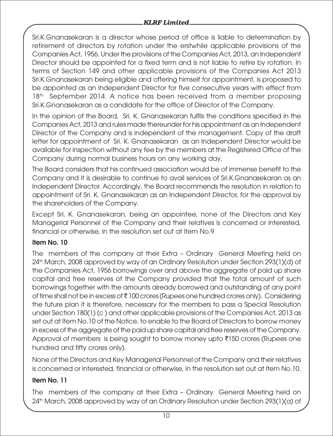Sri.K.Gnanasekaran is a director whose period of office is liable to determination by retirement of directors by rotation under the erstwhile applicable provisions of the Companies Act, 1956. Under the provisions of the Companies Act, 2013, an Independent Director should be appointed for a fixed term and is not liable to retire by rotation. In terms of Section 149 and other applicable provisions of the Companies Act 2013 Sri.K.Gnanasekaran being eligible and offering himself for appointment, is proposed to be appointed as an Independent Director for five consecutive years with effect from 18<sup>th</sup> September 2014. A notice has been received from a member proposing Sri.K.Gnanasekaran as a candidate for the office of Director of the Company.

In the opinion of the Board, Sri. K. Gnanasekaran fulfils the conditions specified in the Companies Act, 2013 and rules made thereunder for his appointment as an Independent Director of the Company and is independent of the management. Copy of the draft letter for appointment of Sri. K. Gnanasekaran as an Independent Director would be available for inspection without any fee by the members at the Registered Office of the Company during normal business hours on any working day.

The Board considers that his continued association would be of immense benefit to the Company and it is desirable to continue to avail services of Sri.K.Gnanasekaran as an Independent Director. Accordingly, the Board recommends the resolution in relation to appointment of Sri. K. Gnanasekaran as an Independent Director, for the approval by the shareholders of the Company.

Except Sri. K. Gnanasekaran, being an appointee, none of the Directors and Key Managerial Personnel of the Company and their relatives is concerned or interested, financial or otherwise, in the resolution set out at Item No.9

#### **Item No. 10**

The members of the company at their Extra – Ordinary General Meeting held on 24<sup>th</sup> March, 2008 approved by way of an Ordinary Resolution under Section 293(1)(d) of the Companies Act, 1956 borrowings over and above the aggregate of paid up share capital and free reserves of the Company provided that the total amount of such borrowings together with the amounts already borrowed and outstanding at any point of time shall not be in excess of  $\bar{\tau}$  100 crores (Rupees one hundred crores only). Considering the future plan it is therefore, necessary for the members to pass a Special Resolution under Section 180(1) (c ) and other applicable provisions of the Companies Act, 2013 as set out at Item No.10 of the Notice, to enable to the Board of Directors to borrow money in excess of the aggregate of the paid up share capital and free reserves of the Company. Approval of members is being sought to borrow money upto  $\bar{\tau}$ 150 crores (Rupees one hundred and fifty crores only).

None of the Directors and Key Managerial Personnel of the Company and their relatives is concerned or interested, financial or otherwise, in the resolution set out at Item No.10.

#### **Item No. 11**

The members of the company at their Extra – Ordinary General Meeting held on 24th March, 2008 approved by way of an Ordinary Resolution under Section 293(1)(a) of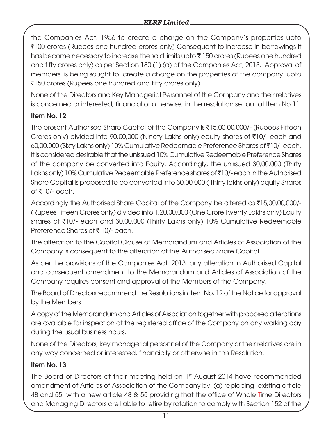the Companies Act, 1956 to create a charge on the Company's properties upto `100 crores (Rupees one hundred crores only) Consequent to increase in borrowings it has become necessary to increase the said limits upto  $\bar{\tau}$  150 crores (Rupees one hundred and fifty crores only) as per Section 180 (1) (a) of the Companies Act, 2013. Approval of members is being sought to create a charge on the properties of the company upto `150 crores (Rupees one hundred and fifty crores only)

None of the Directors and Key Managerial Personnel of the Company and their relatives is concerned or interested, financial or otherwise, in the resolution set out at Item No.11.

#### **Item No. 12**

The present Authorised Share Capital of the Company is ₹15,00,00,000/- (Rupees Fifteen Crores only) divided into 90,00,000 (Ninety Lakhs only) equity shares of  $\bar{\tau}10$ /- each and 60,00,000 (Sixty Lakhs only) 10% Cumulative Redeemable Preference Shares of ₹10/- each. It is considered desirable that the unissued 10% Cumulative Redeemable Preference Shares of the company be converted into Equity. Accordingly, the unissued 30,00,000 (Thirty Lakhs only) 10% Cumulative Redeemable Preference shares of ₹10/- each in the Authorised Share Capital is proposed to be converted into 30,00,000 ( Thirty lakhs only) equity Shares of  $\overline{\tau}$ 10/- each.

Accordingly the Authorised Share Capital of the Company be altered as ₹15,00,00,000/-(Rupees Fifteen Crores only) divided into 1,20,00,000 (One Crore Twenty Lakhs only) Equity shares of  $\overline{\tau}10$ /- each and 30,00,000 (Thirty Lakhs only) 10% Cumulative Redeemable Preference Shares of  $\bar{\tau}$  10/- each.

The alteration to the Capital Clause of Memorandum and Articles of Association of the Company is consequent to the alteration of the Authorised Share Capital.

As per the provisions of the Companies Act, 2013, any alteration in Authorised Capital and consequent amendment to the Memorandum and Articles of Association of the Company requires consent and approval of the Members of the Company.

The Board of Directors recommend the Resolutions in Item No. 12 of the Notice for approval by the Members

A copy of the Memorandum and Articles of Association together with proposed alterations are available for inspection at the registered office of the Company on any working day during the usual business hours.

None of the Directors, key managerial personnel of the Company or their relatives are in any way concerned or interested, financially or otherwise in this Resolution.

#### **Item No. 13**

The Board of Directors at their meeting held on 1st August 2014 have recommended amendment of Articles of Association of the Company by (a) replacing existing article 48 and 55 with a new article 48 & 55 providing that the office of Whole Time Directors and Managing Directors are liable to retire by rotation to comply with Section 152 of the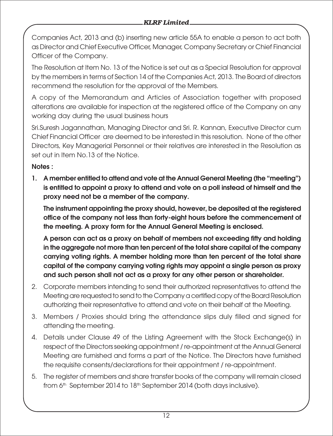Companies Act, 2013 and (b) inserting new article 55A to enable a person to act both as Director and Chief Executive Officer, Manager, Company Secretary or Chief Financial Officer of the Company.

The Resolution at Item No. 13 of the Notice is set out as a Special Resolution for approval by the members in terms of Section 14 of the Companies Act, 2013. The Board of directors recommend the resolution for the approval of the Members.

A copy of the Memorandum and Articles of Association together with proposed alterations are available for inspection at the registered office of the Company on any working day during the usual business hours

Sri.Suresh Jagannathan, Managing Director and Sri. R. Kannan, Executive Director cum Chief Financial Officer are deemed to be interested in this resolution. None of the other Directors, Key Managerial Personnel or their relatives are interested in the Resolution as set out in Item No.13 of the Notice.

#### **Notes :**

**1. A member entitled to attend and vote at the Annual General Meeting (the "meeting") is entitled to appoint a proxy to attend and vote on a poll instead of himself and the proxy need not be a member of the company.**

**The instrument appointing the proxy should, however, be deposited at the registered office of the company not less than forty-eight hours before the commencement of the meeting. A proxy form for the Annual General Meeting is enclosed.**

**A person can act as a proxy on behalf of members not exceeding fifty and holding in the aggregate not more than ten percent of the total share capital of the company carrying voting rights. A member holding more than ten percent of the total share capital of the company carrying voting rights may appoint a single person as proxy and such person shall not act as a proxy for any other person or shareholder.**

- 2. Corporate members intending to send their authorized representatives to attend the Meeting are requested to send to the Company a certified copy of the Board Resolution authorizing their representative to attend and vote on their behalf at the Meeting.
- 3. Members / Proxies should bring the attendance slips duly filled and signed for attending the meeting.
- 4. Details under Clause 49 of the Listing Agreement with the Stock Exchange(s) in respect of the Directors seeking appointment / re-appointment at the Annual General Meeting are furnished and forms a part of the Notice. The Directors have furnished the requisite consents/declarations for their appointment / re-appointment.
- 5. The register of members and share transfer books of the company will remain closed from 6<sup>th</sup> September 2014 to 18<sup>th</sup> September 2014 (both days inclusive).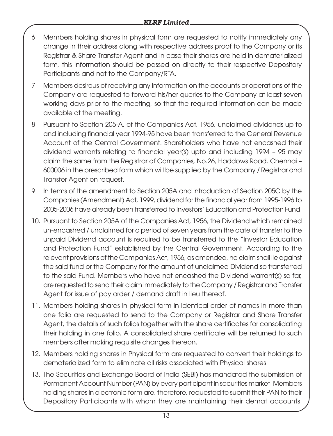- 6. Members holding shares in physical form are requested to notify immediately any change in their address along with respective address proof to the Company or its Registrar & Share Transfer Agent and in case their shares are held in dematerialized form, this information should be passed on directly to their respective Depository Participants and not to the Company/RTA.
- 7. Members desirous of receiving any information on the accounts or operations of the Company are requested to forward his/her queries to the Company at least seven working days prior to the meeting, so that the required information can be made available at the meeting.
- 8. Pursuant to Section 205-A, of the Companies Act, 1956, unclaimed dividends up to and including financial year 1994-95 have been transferred to the General Revenue Account of the Central Government. Shareholders who have not encashed their dividend warrants relating to financial year(s) upto and including 1994 – 95 may claim the same from the Registrar of Companies, No.26, Haddows Road, Chennai – 600006 in the prescribed form which will be supplied by the Company / Registrar and Transfer Agent on request.
- 9. In terms of the amendment to Section 205A and introduction of Section 205C by the Companies (Amendment) Act, 1999, dividend for the financial year from 1995-1996 to 2005-2006 have already been transferred to Investors' Education and Protection Fund.
- 10. Pursuant to Section 205A of the Companies Act, 1956, the Dividend which remained un-encashed / unclaimed for a period of seven years from the date of transfer to the unpaid Dividend account is required to be transferred to the "Investor Education and Protection Fund" established by the Central Government. According to the relevant provisions of the Companies Act, 1956, as amended, no claim shall lie against the said fund or the Company for the amount of unclaimed Dividend so transferred to the said Fund. Members who have not encashed the Dividend warrant(s) so far, are requested to send their claim immediately to the Company / Registrar and Transfer Agent for issue of pay order / demand draft in lieu thereof.
- 11. Members holding shares in physical form in identical order of names in more than one folio are requested to send to the Company or Registrar and Share Transfer Agent, the details of such folios together with the share certificates for consolidating their holding in one folio. A consolidated share certificate will be returned to such members after making requisite changes thereon.
- 12. Members holding shares in Physical form are requested to convert their holdings to dematerialized form to eliminate all risks associated with Physical shares.
- 13. The Securities and Exchange Board of India (SEBI) has mandated the submission of Permanent Account Number (PAN) by every participant in securities market. Members holding shares in electronic form are, therefore, requested to submit their PAN to their Depository Participants with whom they are maintaining their demat accounts.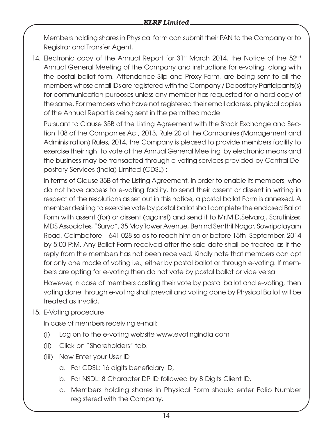Members holding shares in Physical form can submit their PAN to the Company or to Registrar and Transfer Agent.

14. Electronic copy of the Annual Report for  $31<sup>st</sup>$  March 2014, the Notice of the  $52<sup>nd</sup>$ Annual General Meeting of the Company and instructions for e-voting, along with the postal ballot form, Attendance Slip and Proxy Form, are being sent to all the members whose email IDs are registered with the Company / Depository Participants(s) for communication purposes unless any member has requested for a hard copy of the same. For members who have not registered their email address, physical copies of the Annual Report is being sent in the permitted mode

Pursuant to Clause 35B of the Listing Agreement with the Stock Exchange and Section 108 of the Companies Act, 2013, Rule 20 of the Companies (Management and Administration) Rules, 2014, the Company is pleased to provide members facility to exercise their right to vote at the Annual General Meeting by electronic means and the business may be transacted through e-voting services provided by Central Depository Services (India) Limited (CDSL) :

In terms of Clause 35B of the Listing Agreement, in order to enable its members, who do not have access to e-voting facility, to send their assent or dissent in writing in respect of the resolutions as set out in this notice, a postal ballot Form is annexed. A member desiring to exercise vote by postal ballot shall complete the enclosed Ballot Form with assent (for) or dissent (against) and send it to Mr.M.D.Selvaraj, Scrutinizer, MDS Associates, "Surya", 35 Mayflower Avenue, Behind Senthil Nagar, Sowripalayam Road, Coimbatore – 641 028 so as to reach him on or before 15th September, 2014 by 5:00 P:M. Any Ballot Form received after the said date shall be treated as if the reply from the members has not been received. Kindly note that members can opt for only one mode of voting i.e., either by postal ballot or through e-voting. If members are opting for e-voting then do not vote by postal ballot or vice versa.

However, in case of members casting their vote by postal ballot and e-voting, then voting done through e-voting shall prevail and voting done by Physical Ballot will be treated as invalid.

#### 15. E-Voting procedure

In case of members receiving e-mail:

- (i) Log on to the e-voting website www.evotingindia.com
- (ii) Click on "Shareholders" tab.
- (iii) Now Enter your User ID
	- a. For CDSL: 16 digits beneficiary ID,
	- b. For NSDL: 8 Character DP ID followed by 8 Digits Client ID,
	- c. Members holding shares in Physical Form should enter Folio Number registered with the Company.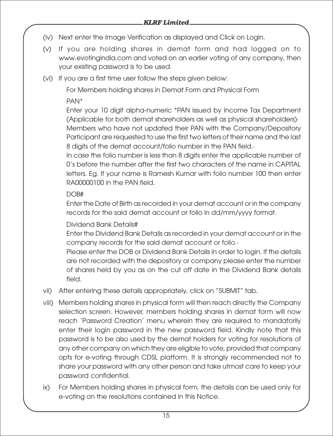- (iv) Next enter the Image Verification as displayed and Click on Login.
- (v) If you are holding shares in demat form and had logged on to www.evotingindia.com and voted on an earlier voting of any company, then your existing password is to be used.
- (vi) If you are a first time user follow the steps given below:

For Members holding shares in Demat Form and Physical Form

PAN\*

Enter your 10 digit alpha-numeric \*PAN issued by Income Tax Department (Applicable for both demat shareholders as well as physical shareholders)· Members who have not updated their PAN with the Company/Depository Participant are requested to use the first two letters of their name and the last 8 digits of the demat account/folio number in the PAN field.

In case the folio number is less than 8 digits enter the applicable number of 0's before the number after the first two characters of the name in CAPITAL letters. Eg. If your name is Ramesh Kumar with folio number 100 then enter RA00000100 in the PAN field.

#### DOB#

Enter the Date of Birth as recorded in your demat account or in the company records for the said demat account or folio in dd/mm/yyyy format.

#### Dividend Bank Details#

Enter the Dividend Bank Details as recorded in your demat account or in the company records for the said demat account or folio.·

Please enter the DOB or Dividend Bank Details in order to login. If the details are not recorded with the depository or company please enter the number of shares held by you as on the cut off date in the Dividend Bank details field.

- vii) After entering these details appropriately, click on "SUBMIT" tab.
- viii) Members holding shares in physical form will then reach directly the Company selection screen. However, members holding shares in demat form will now reach 'Password Creation' menu wherein they are required to mandatorily enter their login password in the new password field. Kindly note that this password is to be also used by the demat holders for voting for resolutions of any other company on which they are eligible to vote, provided that company opts for e-voting through CDSL platform. It is strongly recommended not to share your password with any other person and take utmost care to keep your password confidential.
- ix) For Members holding shares in physical form, the details can be used only for e-voting on the resolutions contained in this Notice.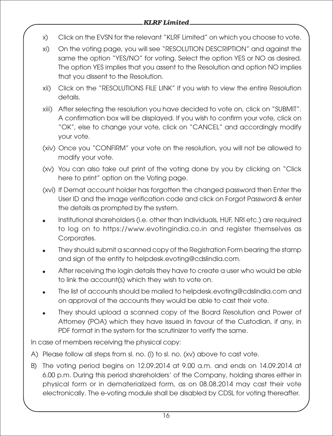- x) Click on the EVSN for the relevant "KLRF Limited" on which you choose to vote.
- xi) On the voting page, you will see "RESOLUTION DESCRIPTION" and against the same the option "YES/NO" for voting. Select the option YES or NO as desired. The option YES implies that you assent to the Resolution and option NO implies that you dissent to the Resolution.
- xii) Click on the "RESOLUTIONS FILE LINK" if you wish to view the entire Resolution details.
- xiii) After selecting the resolution you have decided to vote on, click on "SUBMIT". A confirmation box will be displayed. If you wish to confirm your vote, click on "OK", else to change your vote, click on "CANCEL" and accordingly modify your vote.
- (xiv) Once you "CONFIRM" your vote on the resolution, you will not be allowed to modify your vote.
- (xv) You can also take out print of the voting done by you by clicking on "Click here to print" option on the Voting page.
- (xvi) If Demat account holder has forgotten the changed password then Enter the User ID and the image verification code and click on Forgot Password & enter the details as prompted by the system.
- Institutional shareholders (i.e. other than Individuals, HUF, NRI etc.) are required to log on to https://www.evotingindia.co.in and register themselves as Corporates.
- They should submit a scanned copy of the Registration Form bearing the stamp and sign of the entity to helpdesk.evoting@cdslindia.com.
- After receiving the login details they have to create a user who would be able to link the account(s) which they wish to vote on.
- The list of accounts should be mailed to helpdesk.evoting@cdslindia.com and on approval of the accounts they would be able to cast their vote.
- They should upload a scanned copy of the Board Resolution and Power of Attorney (POA) which they have issued in favour of the Custodian, if any, in PDF format in the system for the scrutinizer to verify the same.

In case of members receiving the physical copy:

- A) Please follow all steps from sl. no. (i) to sl. no. (xv) above to cast vote.
- B) The voting period begins on 12.09.2014 at 9.00 a.m. and ends on 14.09.2014 at 6.00 p.m. During this period shareholders' of the Company, holding shares either in physical form or in dematerialized form, as on 08.08.2014 may cast their vote electronically. The e-voting module shall be disabled by CDSL for voting thereafter.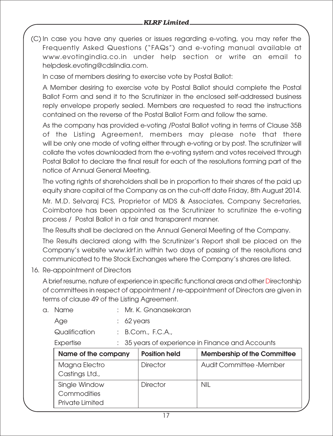(C) In case you have any queries or issues regarding e-voting, you may refer the Frequently Asked Questions ("FAQs") and e-voting manual available at www.evotingindia.co.in under help section or write an email to helpdesk.evoting@cdslindia.com.

In case of members desiring to exercise vote by Postal Ballot:

A Member desiring to exercise vote by Postal Ballot should complete the Postal Ballot Form and send it to the Scrutinizer in the enclosed self-addressed business reply envelope properly sealed. Members are requested to read the instructions contained on the reverse of the Postal Ballot Form and follow the same.

As the company has provided e-voting /Postal Ballot voting in terms of Clause 35B of the Listing Agreement, members may please note that there will be only one mode of voting either through e-voting or by post. The scrutinizer will collate the votes downloaded from the e-voting system and votes received through Postal Ballot to declare the final result for each of the resolutions forming part of the notice of Annual General Meeting.

The voting rights of shareholders shall be in proportion to their shares of the paid up equity share capital of the Company as on the cut-off date Friday, 8th August 2014.

Mr. M.D. Selvaraj FCS, Proprietor of MDS & Associates, Company Secretaries, Coimbatore has been appointed as the Scrutinizer to scrutinize the e-voting process / Postal Ballot in a fair and transparent manner.

The Results shall be declared on the Annual General Meeting of the Company.

The Results declared along with the Scrutinizer's Report shall be placed on the Company's website www.klrf.in within two days of passing of the resolutions and communicated to the Stock Exchanges where the Company's shares are listed.

16. Re-appointment of Directors

A brief resume, nature of experience in specific functional areas and other Directorship of committees in respect of appointment / re-appointment of Directors are given in terms of clause 49 of the Listing Agreement.

| a. Name       | : Mr. K. Gnanasekaran                            |
|---------------|--------------------------------------------------|
| Age           | $: 62$ years                                     |
| Qualification | $\therefore$ B.Com., F.C.A.,                     |
| Expertise     | : 35 years of experience in Finance and Accounts |

| Name of the company                             | <b>Position held</b> | <b>Membership of the Committee</b> |
|-------------------------------------------------|----------------------|------------------------------------|
| Magna Electro<br>Castings Ltd.,                 | <b>Director</b>      | Audit Committee - Member           |
| Single Window<br>Commodities<br>Private Limited | <b>Director</b>      | NIL                                |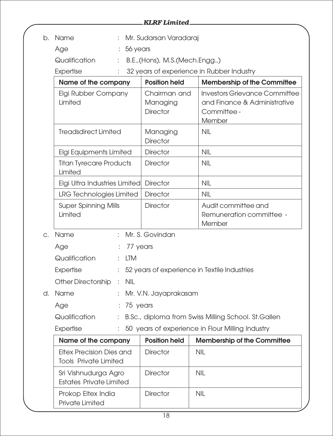# *KLRF Limited*

| b. | Name                                                            | Mr. Sudarsan Varadaraj                      |                                                                                        |  |  |  |
|----|-----------------------------------------------------------------|---------------------------------------------|----------------------------------------------------------------------------------------|--|--|--|
|    | Age                                                             | 56 years                                    |                                                                                        |  |  |  |
|    | Qualification<br>÷                                              | B.E., (Hons), M.S. (Mech.Engg.,)            |                                                                                        |  |  |  |
|    | Expertise<br>÷                                                  |                                             | 32 years of experience in Rubber Industry                                              |  |  |  |
|    | Name of the company                                             | <b>Position held</b>                        | <b>Membership of the Committee</b>                                                     |  |  |  |
|    | Elgi Rubber Company<br>Limited                                  | Chairman and<br>Managing<br><b>Director</b> | Investors Grievance Committee<br>and Finance & Administrative<br>Committee -<br>Member |  |  |  |
|    | <b>Treadsdirect Limited</b>                                     | Managing<br><b>Director</b>                 | <b>NIL</b>                                                                             |  |  |  |
|    | Elgi Equipments Limited                                         | <b>Director</b>                             | <b>NIL</b>                                                                             |  |  |  |
|    | <b>Titan Tyrecare Products</b><br>Limited                       | <b>Director</b>                             | <b>NIL</b>                                                                             |  |  |  |
|    | Elgi Ultra Industries Limited                                   | Director                                    | <b>NIL</b>                                                                             |  |  |  |
|    | LRG Technologies Limited                                        | <b>Director</b>                             | <b>NIL</b>                                                                             |  |  |  |
|    | <b>Super Spinning Mills</b><br>Limited                          | <b>Director</b>                             | Audit committee and<br>Remuneration committee -<br>Member                              |  |  |  |
| C. | Name                                                            | : Mr. S. Govindan                           |                                                                                        |  |  |  |
|    | 77 years<br>Age                                                 |                                             |                                                                                        |  |  |  |
|    | Qualification<br>$:$ LTM                                        |                                             |                                                                                        |  |  |  |
|    | Expertise                                                       |                                             | : 52 years of experience in Textile Industries                                         |  |  |  |
|    | Other Directorship<br><b>NIL</b><br>$\mathbb{Z}^n$ .            |                                             |                                                                                        |  |  |  |
| d. | Name                                                            | Mr. V.N. Jayaprakasam                       |                                                                                        |  |  |  |
|    | 75 years<br>Age                                                 |                                             |                                                                                        |  |  |  |
|    | Qualification                                                   |                                             | : B.Sc., diploma from Swiss Milling School. St.Gallen                                  |  |  |  |
|    | Expertise                                                       |                                             | : 50 years of experience in Flour Milling Industry                                     |  |  |  |
|    | Name of the company                                             | <b>Position held</b>                        | <b>Membership of the Committee</b>                                                     |  |  |  |
|    | <b>Eltex Precision Dies and</b><br><b>Tools Private Limited</b> | <b>Director</b>                             | <b>NIL</b>                                                                             |  |  |  |
|    | Sri Vishnudurga Agro<br><b>Estates Private Limited</b>          | <b>Director</b>                             | <b>NIL</b>                                                                             |  |  |  |
|    | Prokop Eltex India<br>Private Limited                           | <b>Director</b>                             | <b>NIL</b>                                                                             |  |  |  |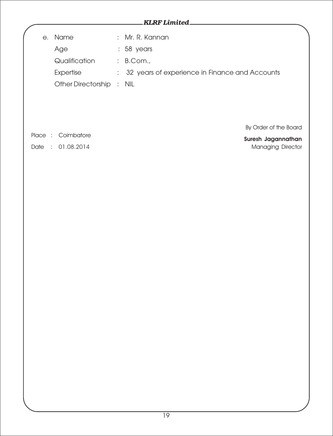#### *KLRF Limited*

| Name<br>е.              | : Mr. R. Kannan                                  |
|-------------------------|--------------------------------------------------|
| Age                     | $: 58$ years                                     |
| Qualification           | B. Comm.                                         |
| Expertise               | : 32 years of experience in Finance and Accounts |
| Other Directorship: NIL |                                                  |
|                         |                                                  |

Place : Coimbatore

Date : 01.08.2014

By Order of the Board

Suresh Jagannathan Managing Director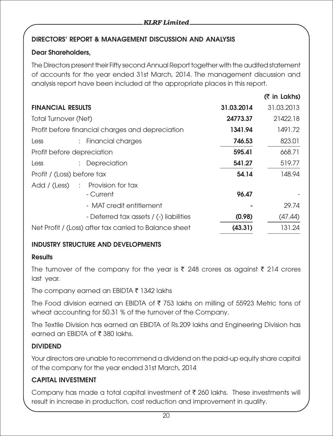#### **DIRECTORS' REPORT & MANAGEMENT DISCUSSION AND ANALYSIS**

#### **Dear Shareholders,**

The Directors present their Fifty second Annual Report together with the audited statement of accounts for the year ended 31st March, 2014. The management discussion and analysis report have been included at the appropriate places in this report.

|                             |  |                                                        |            | (₹ in Lakhs) |
|-----------------------------|--|--------------------------------------------------------|------------|--------------|
| <b>FINANCIAL RESULTS</b>    |  |                                                        | 31.03.2014 | 31.03.2013   |
| <b>Total Turnover (Net)</b> |  |                                                        | 24773.37   | 21422.18     |
|                             |  | Profit before financial charges and depreciation       | 1341.94    | 1491.72      |
| Less                        |  | : Financial charges                                    | 746.53     | 823.01       |
| Profit before depreciation  |  |                                                        | 595.41     | 668.71       |
| Less                        |  | : Depreciation                                         | 541.27     | 519.77       |
| Profit / (Loss) before tax  |  |                                                        | 54.14      | 148.94       |
|                             |  | Add / (Less) : Provision for tax                       |            |              |
|                             |  | - Current                                              | 96.47      |              |
|                             |  | - MAT credit entitlement                               |            | 29.74        |
|                             |  | - Deferred tax assets / (-) liabilities                | (0.98)     | (47.44)      |
|                             |  | Net Profit / (Loss) after tax carried to Balance sheet | (43.31)    | 131.24       |

#### **INDUSTRY STRUCTURE AND DEVELOPMENTS**

#### **Results**

The turnover of the company for the year is  $\bar{\tau}$  248 crores as against  $\bar{\tau}$  214 crores last year.

The company earned an EBIDTA  $\bar{\tau}$  1342 lakhs

The Food division earned an EBIDTA of  $\bar{\tau}$  753 lakhs on milling of 55923 Metric tons of wheat accounting for 50.31 % of the turnover of the Company.

The Textile Division has earned an EBIDTA of Rs.209 lakhs and Engineering Division has earned an EBIDTA of  $\bar{\tau}$  380 lakhs.

#### **DIVIDEND**

Your directors are unable to recommend a dividend on the paid-up equity share capital of the company for the year ended 31st March, 2014

#### **CAPITAL INVESTMENT**

Company has made a total capital investment of  $\bar{\tau}$  260 lakhs. These investments will result in increase in production, cost reduction and improvement in quality.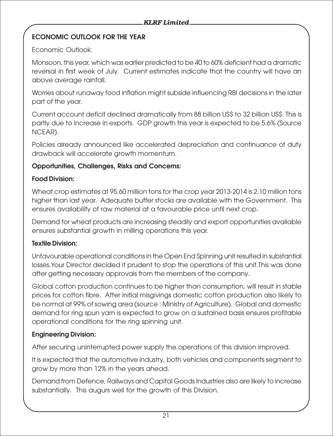#### **ECONOMIC OUTLOOK FOR THE YEAR**

Economic Outlook:

Monsoon, this year, which was earlier predicted to be 40 to 60% deficient had a dramatic reversal in first week of July. Current estimates indicate that the country will have an above average rainfall.

Worries about runaway food inflation might subside influencing RBI decisions in the later part of the year.

Current account deficit declined dramatically from 88 billion US\$ to 32 billion US\$. This is partly due to increase in exports. GDP growth this year is expected to be 5.6% (Source NCEAR).

Policies already announced like accelerated depreciation and continuance of duty drawback will accelerate growth momentum.

#### **Opportunities, Challenges, Risks and Concerns:**

#### **Food Division:**

Wheat crop estimates at 95.60 million tons for the crop year 2013-2014 is 2.10 million tons higher than last year. Adequate buffer stocks are available with the Government. This ensures availability of raw material at a favourable price until next crop.

Demand for wheat products are increasing steadily and export opportunities available ensures substantial growth in milling operations this year.

#### **Textile Division:**

Unfavourable operational conditions in the Open End Spinning unit resulted in substantial losses.Your Director decided it prudent to stop the operations of this unit.This was done after getting necessary approvals from the members of the company.

Global cotton production continues to be higher than consumption, will result in stable prices for cotton fibre. After initial misgivings domestic cotton production also likely to be normal at 99% of sowing area (source : Ministry of Agriculture). Global and domestic demand for ring spun yarn is expected to grow on a sustained basis ensures profitable operational conditions for the ring spinning unit.

#### **Engineering Division:**

After securing uninterrupted power supply the operations of this division improved.

It is expected that the automotive industry, both vehicles and components segment to grow by more than 12% in the years ahead.

Demand from Defence, Railways and Capital Goods Industries also are likely to increase substantially. This augurs well for the growth of this Division.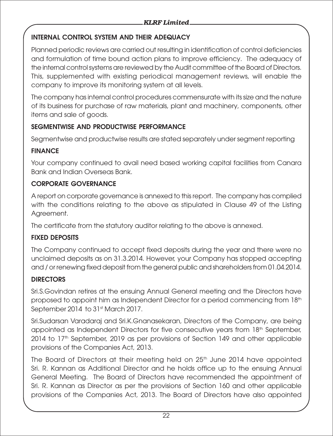#### **INTERNAL CONTROL SYSTEM AND THEIR ADEQUACY**

Planned periodic reviews are carried out resulting in identification of control deficiencies and formulation of time bound action plans to improve efficiency. The adequacy of the internal control systems are reviewed by the Audit committee of the Board of Directors. This, supplemented with existing periodical management reviews, will enable the company to improve its monitoring system at all levels.

The company has internal control procedures commensurate with its size and the nature of its business for purchase of raw materials, plant and machinery, components, other items and sale of goods.

#### **SEGMENTWISE AND PRODUCTWISE PERFORMANCE**

Segmentwise and productwise results are stated separately under segment reporting

#### **FINANCE**

Your company continued to avail need based working capital facilities from Canara Bank and Indian Overseas Bank.

#### **CORPORATE GOVERNANCE**

A report on corporate governance is annexed to this report. The company has complied with the conditions relating to the above as stipulated in Clause 49 of the Listing Agreement.

The certificate from the statutory auditor relating to the above is annexed.

#### **FIXED DEPOSITS**

The Company continued to accept fixed deposits during the year and there were no unclaimed deposits as on 31.3.2014. However, your Company has stopped accepting and / or renewing fixed deposit from the general public and shareholders from 01.04.2014.

#### **DIRECTORS**

Sri.S.Govindan retires at the ensuing Annual General meeting and the Directors have proposed to appoint him as Independent Director for a period commencing from 18<sup>th</sup> September 2014 to 31st March 2017.

Sri.Sudarsan Varadaraj and Sri.K.Gnanasekaran, Directors of the Company, are being appointed as Independent Directors for five consecutive years from  $18<sup>th</sup>$  September, 2014 to 17th September, 2019 as per provisions of Section 149 and other applicable provisions of the Companies Act, 2013.

The Board of Directors at their meeting held on 25<sup>th</sup> June 2014 have appointed Sri. R. Kannan as Additional Director and he holds office up to the ensuing Annual General Meeting. The Board of Directors have recommended the appointment of Sri. R. Kannan as Director as per the provisions of Section 160 and other applicable provisions of the Companies Act, 2013. The Board of Directors have also appointed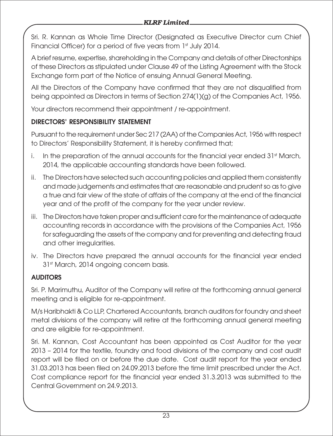Sri. R. Kannan as Whole Time Director (Designated as Executive Director cum Chief Financial Officer) for a period of five years from 1st July 2014.

A brief resume, expertise, shareholding in the Company and details of other Directorships of these Directors as stipulated under Clause 49 of the Listing Agreement with the Stock Exchange form part of the Notice of ensuing Annual General Meeting.

All the Directors of the Company have confirmed that they are not disqualified from being appointed as Directors in terms of Section 274(1)(g) of the Companies Act, 1956.

Your directors recommend their appointment / re-appointment.

#### **DIRECTORS' RESPONSIBILITY STATEMENT**

Pursuant to the requirement under Sec 217 (2AA) of the Companies Act, 1956 with respect to Directors' Responsibility Statement, it is hereby confirmed that;

- i. In the preparation of the annual accounts for the financial year ended  $31<sup>st</sup>$  March, 2014, the applicable accounting standards have been followed.
- ii. The Directors have selected such accounting policies and applied them consistently and made judgements and estimates that are reasonable and prudent so as to give a true and fair view of the state of affairs of the company at the end of the financial year and of the profit of the company for the year under review.
- iii. The Directors have taken proper and sufficient care for the maintenance of adequate accounting records in accordance with the provisions of the Companies Act, 1956 for safeguarding the assets of the company and for preventing and detecting fraud and other irregularities.
- iv. The Directors have prepared the annual accounts for the financial year ended 31<sup>st</sup> March, 2014 ongoing concern basis.

#### **AUDITORS**

Sri. P. Marimuthu, Auditor of the Company will retire at the forthcoming annual general meeting and is eligible for re-appointment.

M/s Haribhakti & Co LLP, Chartered Accountants, branch auditors for foundry and sheet metal divisions of the company will retire at the forthcoming annual general meeting and are eligible for re-appointment.

Sri. M. Kannan, Cost Accountant has been appointed as Cost Auditor for the year 2013 – 2014 for the textile, foundry and food divisions of the company and cost audit report will be filed on or before the due date. Cost audit report for the year ended 31.03.2013 has been filed on 24.09.2013 before the time limit prescribed under the Act. Cost compliance report for the financial year ended 31.3.2013 was submitted to the Central Government on 24.9.2013.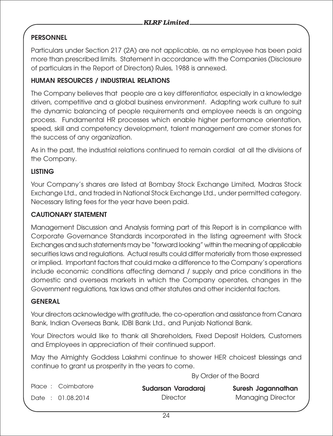### **PERSONNEL**

Particulars under Section 217 (2A) are not applicable, as no employee has been paid more than prescribed limits. Statement in accordance with the Companies (Disclosure of particulars in the Report of Directors) Rules, 1988 is annexed.

#### **HUMAN RESOURCES / INDUSTRIAL RELATIONS**

The Company believes that people are a key differentiator, especially in a knowledge driven, competitive and a global business environment. Adapting work culture to suit the dynamic balancing of people requirements and employee needs is an ongoing process. Fundamental HR processes which enable higher performance orientation, speed, skill and competency development, talent management are corner stones for the success of any organization.

As in the past, the industrial relations continued to remain cordial at all the divisions of the Company.

#### **LISTING**

Your Company's shares are listed at Bombay Stock Exchange Limited, Madras Stock Exchange Ltd., and traded in National Stock Exchange Ltd., under permitted category. Necessary listing fees for the year have been paid.

#### **CAUTIONARY STATEMENT**

Management Discussion and Analysis forming part of this Report is in compliance with Corporate Governance Standards incorporated in the listing agreement with Stock Exchanges and such statements may be "forward looking" within the meaning of applicable securities laws and regulations. Actual results could differ materially from those expressed or implied. Important factors that could make a difference to the Company's operations include economic conditions affecting demand / supply and price conditions in the domestic and overseas markets in which the Company operates, changes in the Government regulations, tax laws and other statutes and other incidental factors.

#### **GENERAL**

Your directors acknowledge with gratitude, the co-operation and assistance from Canara Bank, Indian Overseas Bank, IDBI Bank Ltd., and Punjab National Bank.

Your Directors would like to thank all Shareholders, Fixed Deposit Holders, Customers and Employees in appreciation of their continued support.

May the Almighty Goddess Lakshmi continue to shower HER choicest blessings and continue to grant us prosperity in the years to come.

By Order of the Board

|                    |                    | _ , _ . _ . _ _ _        |
|--------------------|--------------------|--------------------------|
| Place : Coimbatore | Sudarsan Varadaraj | Suresh Jagannathan       |
| Date: 01.08.2014   | Director           | <b>Managing Director</b> |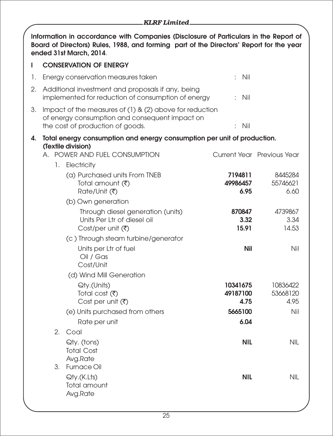|    | Information in accordance with Companies (Disclosure of Particulars in the Report of<br>Board of Directors) Rules, 1988, and forming part of the Directors' Report for the year<br>ended 31st March, 2014. |                                                                                                                                               |                                                 |                                     |  |  |  |  |
|----|------------------------------------------------------------------------------------------------------------------------------------------------------------------------------------------------------------|-----------------------------------------------------------------------------------------------------------------------------------------------|-------------------------------------------------|-------------------------------------|--|--|--|--|
| L  |                                                                                                                                                                                                            | <b>CONSERVATION OF ENERGY</b>                                                                                                                 |                                                 |                                     |  |  |  |  |
| 1. |                                                                                                                                                                                                            | Energy conservation measures taken                                                                                                            | Nil                                             |                                     |  |  |  |  |
| 2. | Additional investment and proposals if any, being<br>implemented for reduction of consumption of energy<br>: Nil                                                                                           |                                                                                                                                               |                                                 |                                     |  |  |  |  |
| 3. |                                                                                                                                                                                                            | Impact of the measures of (1) & (2) above for reduction<br>of energy consumption and consequent impact on<br>the cost of production of goods. | Nil<br>t.                                       |                                     |  |  |  |  |
| 4. |                                                                                                                                                                                                            | Total energy consumption and energy consumption per unit of production.                                                                       |                                                 |                                     |  |  |  |  |
|    | 1.                                                                                                                                                                                                         | (Textile division)<br>A. POWER AND FUEL CONSUMPTION<br>Electricity                                                                            |                                                 | <b>Current Year Previous Year</b>   |  |  |  |  |
|    |                                                                                                                                                                                                            | (a) Purchased units From TNEB<br>Total amount $(\overline{\mathbf{z}})$<br>Rate/Unit (₹)                                                      | 7194811<br>49986457<br>6.95                     | 8445284<br>55746621<br>6.60         |  |  |  |  |
|    |                                                                                                                                                                                                            | (b) Own generation<br>Through diesel generation (units)<br>Units Per Ltr of diesel oil<br>Cost/per unit (₹)                                   | 870847<br>3.32<br>15.91                         | 4739867<br>3.34<br>14.53            |  |  |  |  |
|    |                                                                                                                                                                                                            | (c) Through steam turbine/generator<br>Units per Ltr of fuel<br>Oil / Gas<br>Cost/Unit<br>(d) Wind Mill Generation                            | <b>Nil</b>                                      | Nil                                 |  |  |  |  |
|    |                                                                                                                                                                                                            | Qty.(Units)<br>Total cost $(\overline{\mathfrak{k}})$<br>Cost per unit $(\bar{\tau})$<br>(e) Units purchased from others<br>Rate per unit     | 10341675<br>49187100<br>4.75<br>5665100<br>6.04 | 10836422<br>53668120<br>4.95<br>Nil |  |  |  |  |
|    | 2.<br>3.                                                                                                                                                                                                   | Coal<br>Qty. (tons)<br><b>Total Cost</b><br>Avg.Rate<br>Furnace Oil                                                                           | <b>NIL</b>                                      | <b>NIL</b>                          |  |  |  |  |
|    |                                                                                                                                                                                                            | Qty.(K.Lts)<br>Total amount<br>Avg.Rate                                                                                                       | <b>NIL</b>                                      | <b>NIL</b>                          |  |  |  |  |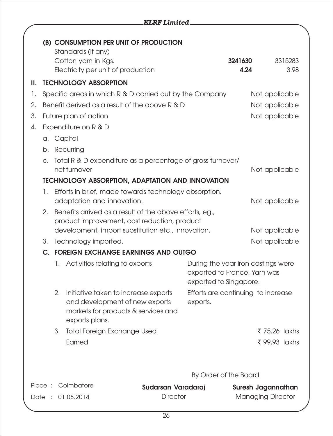|    |                      |    | (B) CONSUMPTION PER UNIT OF PRODUCTION<br>Standards (if any)                                                                    |                    |                                                                                              |         |                           |
|----|----------------------|----|---------------------------------------------------------------------------------------------------------------------------------|--------------------|----------------------------------------------------------------------------------------------|---------|---------------------------|
|    |                      |    | Cotton yarn in Kgs.                                                                                                             |                    |                                                                                              | 3241630 | 3315283                   |
|    |                      |    | Electricity per unit of production                                                                                              |                    |                                                                                              | 4.24    | 3.98                      |
| Ш. |                      |    | <b>TECHNOLOGY ABSORPTION</b>                                                                                                    |                    |                                                                                              |         |                           |
| 1. |                      |    | Specific areas in which R & D carried out by the Company                                                                        |                    |                                                                                              |         | Not applicable            |
| 2. |                      |    | Benefit derived as a result of the above R & D                                                                                  |                    |                                                                                              |         | Not applicable            |
| З. |                      |    | Future plan of action                                                                                                           |                    |                                                                                              |         | Not applicable            |
| 4. | Expenditure on R & D |    |                                                                                                                                 |                    |                                                                                              |         |                           |
|    | a. Capital           |    |                                                                                                                                 |                    |                                                                                              |         |                           |
|    | b.                   |    | Recurring                                                                                                                       |                    |                                                                                              |         |                           |
|    | C.                   |    | Total R & D expenditure as a percentage of gross turnover/                                                                      |                    |                                                                                              |         |                           |
|    |                      |    | net turnover                                                                                                                    |                    |                                                                                              |         | Not applicable            |
|    |                      |    | <b>TECHNOLOGY ABSORPTION, ADAPTATION AND INNOVATION</b>                                                                         |                    |                                                                                              |         |                           |
|    | 1.                   |    | Efforts in brief, made towards technology absorption,<br>adaptation and innovation.                                             |                    |                                                                                              |         | Not applicable            |
|    | 2.                   |    | Benefits arrived as a result of the above efforts, eg.,<br>product improvement, cost reduction, product                         |                    |                                                                                              |         |                           |
|    |                      |    | development, import substitution etc., innovation.                                                                              |                    |                                                                                              |         | Not applicable            |
|    | 3.                   |    | Technology imported.                                                                                                            |                    |                                                                                              |         | Not applicable            |
|    |                      |    | C. FOREIGN EXCHANGE EARNINGS AND OUTGO                                                                                          |                    |                                                                                              |         |                           |
|    |                      |    | 1. Activities relating to exports                                                                                               |                    | During the year iron castings were<br>exported to France. Yarn was<br>exported to Singapore. |         |                           |
|    |                      | 2. | Initiative taken to increase exports<br>and development of new exports<br>markets for products & services and<br>exports plans. |                    | Efforts are continuing to increase<br>exports.                                               |         |                           |
|    |                      | 3. | <b>Total Foreign Exchange Used</b>                                                                                              |                    |                                                                                              |         | ₹ 75.26 lakhs             |
|    |                      |    | Earned                                                                                                                          |                    |                                                                                              |         | ₹ 99.93 lakhs             |
|    |                      |    |                                                                                                                                 |                    | By Order of the Board                                                                        |         |                           |
|    | Place:               |    | Coimbatore                                                                                                                      | Sudarsan Varadaraj |                                                                                              |         | <b>Suresh Jagannathan</b> |
|    | Date :               |    | 01.08.2014                                                                                                                      | Director           |                                                                                              |         | <b>Managing Director</b>  |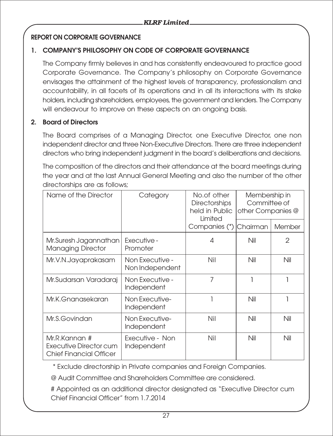#### **REPORT ON CORPORATE GOVERNANCE**

#### **1. COMPANY'S PHILOSOPHY ON CODE OF CORPORATE GOVERNANCE**

The Company firmly believes in and has consistently endeavoured to practice good Corporate Governance. The Company's philosophy on Corporate Governance envisages the attainment of the highest levels of transparency, professionalism and accountability, in all facets of its operations and in all its interactions with its stake holders, including shareholders, employees, the government and lenders. The Company will endeavour to improve on these aspects on an ongoing basis.

#### **2. Board of Directors**

The Board comprises of a Managing Director, one Executive Director, one non independent director and three Non-Executive Directors. There are three independent directors who bring independent judgment in the board's deliberations and decisions.

The composition of the directors and their attendance at the board meetings during the year and at the last Annual General Meeting and also the number of the other directorships are as follows;

| Name of the Director                                                             | Category                           | No.of other<br><b>Directorships</b><br>held in Public<br>Limited | Membership in<br>Committee of<br>other Companies @ |               |  |
|----------------------------------------------------------------------------------|------------------------------------|------------------------------------------------------------------|----------------------------------------------------|---------------|--|
|                                                                                  |                                    | Companies (*)                                                    | <b>Chairman</b>                                    | Member        |  |
| Mr.Suresh Jagannathan<br><b>Managing Director</b>                                | Executive -<br>Promoter            | 4                                                                | Nil                                                | $\mathcal{P}$ |  |
| Mr.V.N.Jayaprakasam                                                              | Non Executive -<br>Non Independent |                                                                  | Nil                                                | Nil           |  |
| Mr.Sudarsan Varadaraj                                                            | Non Executive -<br>Independent     | $\overline{7}$                                                   |                                                    |               |  |
| Mr.K.Gnanasekaran<br>Non Executive-<br>Independent                               |                                    |                                                                  | Nil                                                |               |  |
| Mr.S.Govindan<br>Non Executive-<br>Independent                                   |                                    | Nil                                                              | Nil                                                | Nil           |  |
| Mr.R.Kannan #<br><b>Executive Director cum</b><br><b>Chief Financial Officer</b> | Executive - Non<br>Independent     | Nil                                                              | Nil                                                | Nil           |  |

\* Exclude directorship in Private companies and Foreign Companies.

@ Audit Committee and Shareholders Committee are considered.

# Appointed as an additional director designated as "Executive Director cum Chief Financial Officer" from 1.7.2014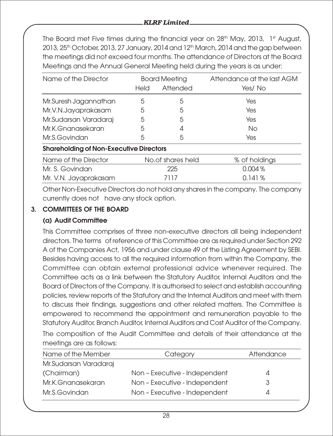The Board met Five times during the financial year on  $28<sup>th</sup>$  May, 2013, 1<sup>st</sup> August,  $2013$ ,  $25<sup>th</sup>$  October, 2013, 27 January, 2014 and  $12<sup>th</sup>$  March, 2014 and the gap between the meetings did not exceed four months. The attendance of Directors at the Board Meetings and the Annual General Meeting held during the years is as under:

| Name of the Director  | <b>Board Meeting</b>                           |          | Attendance at the last AGM |  |  |  |  |
|-----------------------|------------------------------------------------|----------|----------------------------|--|--|--|--|
|                       | <b>Held</b>                                    | Attended | Yes/No                     |  |  |  |  |
| Mr.Suresh Jagannathan | 5<br>5                                         |          | Yes                        |  |  |  |  |
| Mr.V.N.Jayaprakasam   | 5                                              | 5        | Yes                        |  |  |  |  |
| Mr.Sudarsan Varadaraj | 5                                              | 5        | Yes                        |  |  |  |  |
| Mr.K.Gnanasekaran     | 5                                              | 4        | No                         |  |  |  |  |
| Mr.S.Govindan         | 5<br>5                                         |          | Yes                        |  |  |  |  |
|                       | <b>Shareholding of Non-Executive Directors</b> |          |                            |  |  |  |  |
| Name of the Director  | No.of shares held                              |          | % of holdings              |  |  |  |  |
| Mr. S. Govindan       | 225                                            |          | 0.004%                     |  |  |  |  |
| Mr. V.N. Jayaprakasam | 7117                                           |          | 0.141%                     |  |  |  |  |

Other Non-Executive Directors do not hold any shares in the company. The company currently does not have any stock option.

#### **3. COMMITTEES OF THE BOARD**

#### **(a) Audit Committee**

This Committee comprises of three non-executive directors all being independent directors. The terms of reference of this Committee are as required under Section 292 A of the Companies Act, 1956 and under clause 49 of the Listing Agreement by SEBI. Besides having access to all the required information from within the Company, the Committee can obtain external professional advice whenever required. The Committee acts as a link between the Statutory Auditor, Internal Auditors and the Board of Directors of the Company. It is authorised to select and establish accounting policies, review reports of the Statutory and the Internal Auditors and meet with them to discuss their findings, suggestions and other related matters. The Committee is empowered to recommend the appointment and remuneration payable to the Statutory Auditor, Branch Auditor, Internal Auditors and Cost Auditor of the Company.

The composition of the Audit Committee and details of their attendance at the meetings are as follows:

| Name of the Member    | Category                  |   |
|-----------------------|---------------------------|---|
| Mr.Sudarsan Varadaraj |                           |   |
| (Chairman)            | Non-Executive-Independent | 4 |
| Mr.K.Gnanasekaran     | Non-Executive-Independent |   |
| Mr.S.Govindan         | Non-Executive-Independent | 4 |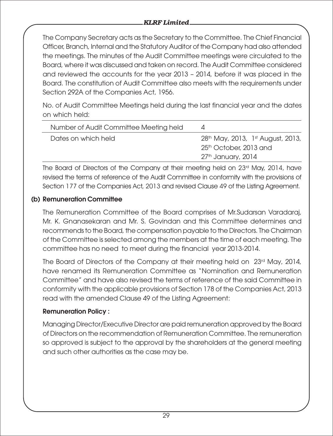The Company Secretary acts as the Secretary to the Committee. The Chief Financial Officer, Branch, Internal and the Statutory Auditor of the Company had also attended the meetings. The minutes of the Audit Committee meetings were circulated to the Board, where it was discussed and taken on record. The Audit Committee considered and reviewed the accounts for the year 2013 – 2014, before it was placed in the Board. The constitution of Audit Committee also meets with the requirements under Section 292A of the Companies Act, 1956.

No. of Audit Committee Meetings held during the last financial year and the dates on which held:

| Number of Audit Committee Meeting held | 4                                                                                                           |
|----------------------------------------|-------------------------------------------------------------------------------------------------------------|
| Dates on which held                    | 28 <sup>th</sup> May, 2013, 1st August, 2013,<br>$25th$ October, 2013 and<br>27 <sup>th</sup> January, 2014 |

The Board of Directors of the Company at their meeting held on  $23<sup>rd</sup>$  May, 2014, have revised the terms of reference of the Audit Committee in conformity with the provisions of Section 177 of the Companies Act, 2013 and revised Clause 49 of the Listing Agreement.

#### **(b) Remuneration Committee**

The Remuneration Committee of the Board comprises of Mr.Sudarsan Varadaraj, Mr. K. Gnanasekaran and Mr. S. Govindan and this Committee determines and recommends to the Board, the compensation payable to the Directors. The Chairman of the Committee is selected among the members at the time of each meeting. The committee has no need to meet during the financial year 2013-2014.

The Board of Directors of the Company at their meeting held on  $23<sup>rd</sup>$  May, 2014, have renamed its Remuneration Committee as "Nomination and Remuneration Committee" and have also revised the terms of reference of the said Committee in conformity with the applicable provisions of Section 178 of the Companies Act, 2013 read with the amended Clause 49 of the Listing Agreement:

#### **Remuneration Policy :**

Managing Director/Executive Director are paid remuneration approved by the Board of Directors on the recommendation of Remuneration Committee. The remuneration so approved is subject to the approval by the shareholders at the general meeting and such other authorities as the case may be.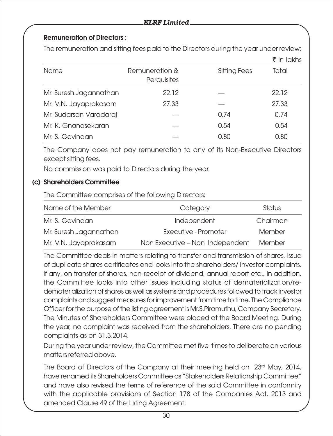#### **Remuneration of Directors :**

The remuneration and sitting fees paid to the Directors during the year under review;

|                        |                |                     | $\bar{\tau}$ in lakhs |
|------------------------|----------------|---------------------|-----------------------|
| Name                   | Remuneration & | <b>Sitting Fees</b> | Total                 |
|                        | Perquisites    |                     |                       |
| Mr. Suresh Jagannathan | 22.12          |                     | 22.12                 |
| Mr. V.N. Jayaprakasam  | 27.33          |                     | 27.33                 |
| Mr. Sudarsan Varadaraj |                | 0.74                | 0.74                  |
| Mr. K. Gnanasekaran    |                | 0.54                | 0.54                  |
| Mr. S. Govindan        |                | 0.80                | 0.80                  |

The Company does not pay remuneration to any of its Non-Executive Directors except sitting fees.

No commission was paid to Directors during the year.

#### **(c) Shareholders Committee**

The Committee comprises of the following Directors;

| Name of the Member     | Category                        | Status   |
|------------------------|---------------------------------|----------|
| Mr. S. Govindan        | Independent                     | Chairman |
| Mr. Suresh Jagannathan | Executive - Promoter            | Member   |
| Mr. V.N. Jayaprakasam  | Non Executive - Non Independent | Member   |

The Committee deals in matters relating to transfer and transmission of shares, issue of duplicate shares certificates and looks into the shareholders/ Investor complaints, if any, on transfer of shares, non-receipt of dividend, annual report etc., In addition, the Committee looks into other issues including status of dematerialization/redematerialization of shares as well as systems and procedures followed to track investor complaints and suggest measures for improvement from time to time. The Compliance Officer for the purpose of the listing agreement is Mr.S.Piramuthu, Company Secretary. The Minutes of Shareholders Committee were placed at the Board Meeting. During the year, no complaint was received from the shareholders. There are no pending complaints as on 31.3.2014.

During the year under review, the Committee met five times to deliberate on various matters referred above.

The Board of Directors of the Company at their meeting held on 23rd May, 2014, have renamed its Shareholders Committee as "Stakeholders Relationship Committee" and have also revised the terms of reference of the said Committee in conformity with the applicable provisions of Section 178 of the Companies Act, 2013 and amended Clause 49 of the Listing Agreement.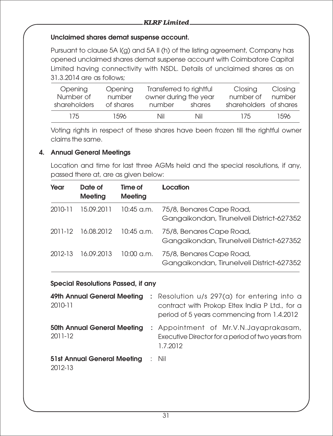#### **Unclaimed shares demat suspense account.**

Pursuant to clause 5A I(g) and 5A II (h) of the listing agreement, Company has opened unclaimed shares demat suspense account with Coimbatore Capital Limited having connectivity with NSDL. Details of unclaimed shares as on 31.3.2014 are as follows;

| Opening<br>Number of | Opening<br>number | Transferred to rightful<br>owner during the year |        | Closing<br>number of   | Closing<br>number |
|----------------------|-------------------|--------------------------------------------------|--------|------------------------|-------------------|
| shareholders         | of shares         | number                                           | shares | shareholders of shares |                   |
| 175                  | 1596.             | Nil                                              | Nil    | 175                    | 1596              |

Voting rights in respect of these shares have been frozen till the rightful owner claims the same.

#### **4. Annual General Meetings**

Location and time for last three AGMs held and the special resolutions, if any, passed there at, are as given below:

| Year    | Date of<br><b>Meeting</b> | Time of<br><b>Meeting</b> | Location                                                              |
|---------|---------------------------|---------------------------|-----------------------------------------------------------------------|
| 2010-11 | 15.09.2011                | 10:45 a.m.                | 75/8, Benares Cape Road,<br>Gangaikondan, Tirunelveli District-627352 |
| 2011-12 | 16.08.2012                | 10:45 a.m.                | 75/8, Benares Cape Road,<br>Gangaikondan, Tirunelveli District-627352 |
| 2012-13 | 16.09.2013                | 10:00 a.m.                | 75/8, Benares Cape Road,<br>Gangaikondan, Tirunelveli District-627352 |

#### **Special Resolutions Passed, if any**

| 49th Annual General Meeting<br>2010-11              | : Resolution $u/s$ 297(a) for entering into a<br>contract with Prokop Eltex India P Ltd., for a<br>period of 5 years commencing from 1.4.2012 |
|-----------------------------------------------------|-----------------------------------------------------------------------------------------------------------------------------------------------|
| <b>50th Annual General Meeting</b><br>2011-12       | : Appointment of Mr.V.N.Jayaprakasam,<br>Executive Director for a period of two years from<br>1.7.2012                                        |
| <b>51st Annual General Meeting : Nil</b><br>2012-13 |                                                                                                                                               |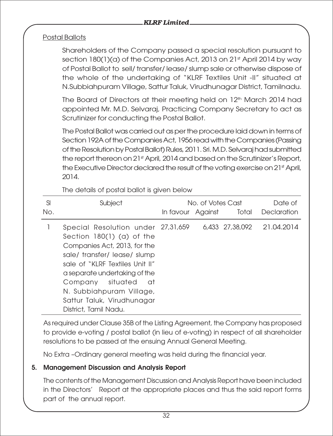#### Postal Ballots

Shareholders of the Company passed a special resolution pursuant to section  $180(1)(a)$  of the Companies Act, 2013 on  $21<sup>st</sup>$  April 2014 by way of Postal Ballot to sell/ transfer/ lease/ slump sale or otherwise dispose of the whole of the undertaking of "KLRF Textiles Unit -II" situated at N.Subbiahpuram Village, Sattur Taluk, Virudhunagar District, Tamilnadu.

The Board of Directors at their meeting held on  $12<sup>th</sup>$  March 2014 had appointed Mr. M.D. Selvaraj, Practicing Company Secretary to act as Scrutinizer for conducting the Postal Ballot.

The Postal Ballot was carried out as per the procedure laid down in terms of Section 192A of the Companies Act, 1956 read with the Companies (Passing of the Resolution by Postal Ballot) Rules, 2011. Sri. M.D. Selvaraj had submitted the report thereon on 21st April, 2014 and based on the Scrutinizer's Report, the Executive Director declared the result of the voting exercise on 21st April, 2014.

The details of postal ballot is given below

| SI<br>No. | Subject                                                                                                                                                                                                                                                                                                         | In favour Against | No. of Votes Cast | Total | Date of<br>Declaration     |
|-----------|-----------------------------------------------------------------------------------------------------------------------------------------------------------------------------------------------------------------------------------------------------------------------------------------------------------------|-------------------|-------------------|-------|----------------------------|
|           | Special Resolution under 27,31,659<br>Section $180(1)$ (a) of the<br>Companies Act, 2013, for the<br>sale/transfer/lease/slump<br>sale of "KIRF Textiles Unit II"<br>a separate undertaking of the<br>Company situated<br>at<br>N. Subbiahpuram Village,<br>Sattur Taluk, Virudhunagar<br>District, Tamil Nadu. |                   |                   |       | 6,433 27,38,092 21.04.2014 |

As required under Clause 35B of the Listing Agreement, the Company has proposed to provide e-voting / postal ballot (in lieu of e-voting) in respect of all shareholder resolutions to be passed at the ensuing Annual General Meeting.

No Extra –Ordinary general meeting was held during the financial year.

#### **5. Management Discussion and Analysis Report**

The contents of the Management Discussion and Analysis Report have been included in the Directors' Report at the appropriate places and thus the said report forms part of the annual report.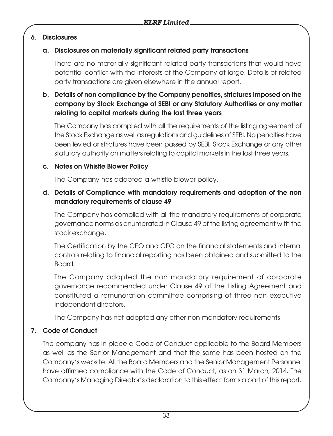#### **6. Disclosures**

#### **a. Disclosures on materially significant related party transactions**

There are no materially significant related party transactions that would have potential conflict with the interests of the Company at large. Details of related party transactions are given elsewhere in the annual report.

#### **b. Details of non compliance by the Company penalties, strictures imposed on the company by Stock Exchange of SEBI or any Statutory Authorities or any matter relating to capital markets during the last three years**

The Company has complied with all the requirements of the listing agreement of the Stock Exchange as well as regulations and guidelines of SEBI. No penalties have been levied or strictures have been passed by SEBI, Stock Exchange or any other statutory authority on matters relating to capital markets in the last three years.

#### **c. Notes on Whistle Blower Policy**

The Company has adopted a whistle blower policy.

#### **d. Details of Compliance with mandatory requirements and adoption of the non mandatory requirements of clause 49**

The Company has complied with all the mandatory requirements of corporate governance norms as enumerated in Clause 49 of the listing agreement with the stock exchange.

The Certification by the CEO and CFO on the financial statements and internal controls relating to financial reporting has been obtained and submitted to the Board.

The Company adopted the non mandatory requirement of corporate governance recommended under Clause 49 of the Listing Agreement and constituted a remuneration committee comprising of three non executive independent directors.

The Company has not adopted any other non-mandatory requirements.

#### **7. Code of Conduct**

The company has in place a Code of Conduct applicable to the Board Members as well as the Senior Management and that the same has been hosted on the Company's website. All the Board Members and the Senior Management Personnel have affirmed compliance with the Code of Conduct, as on 31 March, 2014. The Company's Managing Director's declaration to this effect forms a part of this report.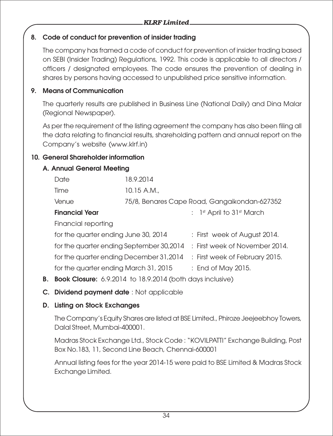#### **8. Code of conduct for prevention of insider trading**

The company has framed a code of conduct for prevention of insider trading based on SEBI (Insider Trading) Regulations, 1992. This code is applicable to all directors / officers / designated employees. The code ensures the prevention of dealing in shares by persons having accessed to unpublished price sensitive information.

#### **9. Means of Communication**

The quarterly results are published in Business Line (National Daily) and Dina Malar (Regional Newspaper).

As per the requirement of the listing agreement the company has also been filing all the data relating to financial results, shareholding pattern and annual report on the Company's website (www.klrf.in)

#### **10. General Shareholder information**

#### **A. Annual General Meeting**

| Date                                     | 18.9.2014     |                                              |
|------------------------------------------|---------------|----------------------------------------------|
| Time                                     | $10.15$ A.M., |                                              |
| Venue                                    |               | 75/8, Benares Cape Road, Gangaikondan-627352 |
| <b>Financial Year</b>                    |               | $:$ 1st April to 31st March                  |
| Financial reporting                      |               |                                              |
| for the quarter ending June 30, 2014     |               | : First week of August 2014.                 |
| for the quarter ending September 30,2014 |               | $\pm$ First week of November 2014.           |
| for the quarter ending December 31,2014  |               | : First week of February 2015.               |
| for the quarter ending March 31, 2015    |               | : End of May 2015.                           |

- **B. Book Closure:** 6.9.2014 to 18.9.2014 (both days inclusive)
- **C. Dividend payment date** : Not applicable

#### **D. Listing on Stock Exchanges**

The Company's Equity Shares are listed at BSE Limited., Phiroze Jeejeebhoy Towers, Dalal Street, Mumbai-400001.

Madras Stock Exchange Ltd., Stock Code : "KOVILPATTI" Exchange Building, Post Box No.183, 11, Second Line Beach, Chennai-600001

Annual listing fees for the year 2014-15 were paid to BSE Limited & Madras Stock Exchange Limited.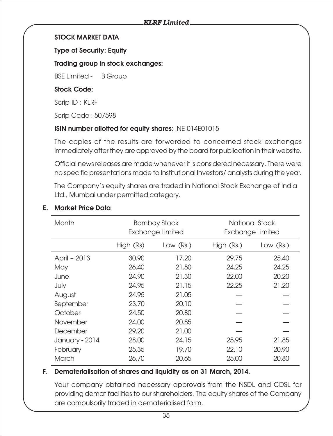#### **STOCK MARKET DATA**

#### **Type of Security: Equity**

#### **Trading group in stock exchanges:**

BSE Limited - B Group

#### **Stock Code:**

Scrip ID : KLRF

Scrip Code : 507598

#### **ISIN number allotted for equity shares**: INE 014E01015

The copies of the results are forwarded to concerned stock exchanges immediately after they are approved by the board for publication in their website.

Official news releases are made whenever it is considered necessary. There were no specific presentations made to Institutional Investors/ analysts during the year.

The Company's equity shares are traded in National Stock Exchange of India Ltd., Mumbai under permitted category.

| Month          |           | <b>Bombay Stock</b><br>Exchange Limited |            | National Stock<br><b>Exchange Limited</b> |  |  |
|----------------|-----------|-----------------------------------------|------------|-------------------------------------------|--|--|
|                | High (Rs) | Low $(Rs.)$                             | High (Rs.) | Low $(Rs.)$                               |  |  |
| April - 2013   | 30.90     | 17.20                                   | 29.75      | 25.40                                     |  |  |
| May            | 26.40     | 21.50                                   | 24.25      | 24.25                                     |  |  |
| June           | 24.90     | 21.30                                   | 22.00      | 20.20                                     |  |  |
| July           | 24.95     | 21.15                                   | 22.25      | 21.20                                     |  |  |
| August         | 24.95     | 21.05                                   |            |                                           |  |  |
| September      | 23.70     | 20.10                                   |            |                                           |  |  |
| October        | 24.50     | 20.80                                   |            |                                           |  |  |
| November       | 24.00     | 20.85                                   |            |                                           |  |  |
| December       | 29.20     | 21.00                                   |            |                                           |  |  |
| January - 2014 | 28.00     | 24.15                                   | 25.95      | 21.85                                     |  |  |
| February       | 25.35     | 19.70                                   | 22.10      | 20.90                                     |  |  |
| March          | 26.70     | 20.65                                   | 25.00      | 20.80                                     |  |  |

#### **E. Market Price Data**

#### **F. Dematerialisation of shares and liquidity as on 31 March, 2014.**

Your company obtained necessary approvals from the NSDL and CDSL for providing demat facilities to our shareholders. The equity shares of the Company are compulsorily traded in dematerialised form.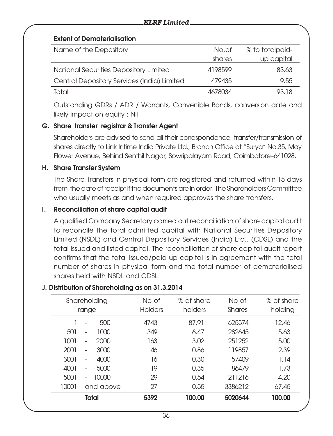#### **Extent of Dematerialisation**

| Name of the Depository                      | No.of   | % to totalpaid- |
|---------------------------------------------|---------|-----------------|
|                                             | shares  | up capital      |
| National Securities Depository Limited      | 4198599 | 83.63           |
| Central Depository Services (India) Limited | 479435  | 9.55            |
| Total                                       | 4678034 | 93.18           |

Outstanding GDRs / ADR / Warrants, Convertible Bonds, conversion date and likely impact on equity : Nil

#### **G. Share transfer registrar & Transfer Agent**

Shareholders are advised to send all their correspondence, transfer/transmission of shares directly to Link Intime India Private Ltd., Branch Office at "Surya" No.35, May Flower Avenue, Behind Senthil Nagar, Sowripalayam Road, Coimbatore–641028.

#### **H. Share Transfer System**

The Share Transfers in physical form are registered and returned within 15 days from the date of receipt if the documents are in order. The Shareholders Committee who usually meets as and when required approves the share transfers.

#### **I. Reconciliation of share capital audit**

A qualified Company Secretary carried out reconciliation of share capital audit to reconcile the total admitted capital with National Securities Depository Limited (NSDL) and Central Depository Services (India) Ltd., (CDSL) and the total issued and listed capital. The reconciliation of share capital audit report confirms that the total issued/paid up capital is in agreement with the total number of shares in physical form and the total number of dematerialised shares held with NSDL and CDSL.

#### **J. Distribution of Shareholding as on 31.3.2014**

| Shareholding<br>range                        | No of<br><b>Holders</b> | % of share<br>holders | No of<br><b>Shares</b> | % of share<br>holding |
|----------------------------------------------|-------------------------|-----------------------|------------------------|-----------------------|
| 500<br>$\overline{\phantom{a}}$              | 4743                    | 87.91                 | 625574                 | 12.46                 |
| 1000<br>501<br>$\qquad \qquad$               | 349                     | 6.47                  | 282645                 | 5.63                  |
| 1001<br>2000<br>$\qquad \qquad \blacksquare$ | 163                     | 3.02                  | 251252                 | 5.00                  |
| 2001<br>3000<br>$\overline{\phantom{a}}$     | 46                      | 0.86                  | 119857                 | 2.39                  |
| 3001<br>4000<br>$\qquad \qquad \blacksquare$ | 16                      | 0.30                  | 57409                  | 1.14                  |
| 4001<br>5000<br>$\overline{\phantom{0}}$     | 19                      | 0.35                  | 86479                  | 1.73                  |
| 5001<br>10000<br>$\qquad \qquad$             | 29                      | 0.54                  | 211216                 | 4.20                  |
| 10001<br>and above                           | 27                      | 0.55                  | 3386212                | 67.45                 |
| <b>Total</b>                                 | 5392                    | 100.00                | 5020644                | 100.00                |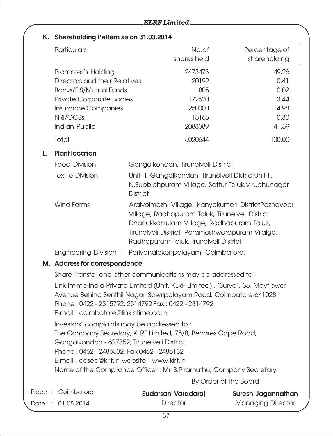| Particulars                                                                                                                                                                                                |                                     | No.of                                                                                                                                                                                                                                             | Percentage of |  |
|------------------------------------------------------------------------------------------------------------------------------------------------------------------------------------------------------------|-------------------------------------|---------------------------------------------------------------------------------------------------------------------------------------------------------------------------------------------------------------------------------------------------|---------------|--|
|                                                                                                                                                                                                            |                                     | shares held                                                                                                                                                                                                                                       | shareholding  |  |
| Promoter's Holding                                                                                                                                                                                         |                                     | 2473473                                                                                                                                                                                                                                           | 49.26         |  |
| Directors and their Relatives                                                                                                                                                                              |                                     | 20192                                                                                                                                                                                                                                             | 0.41          |  |
| <b>Banks/FIS/Mutual Funds</b>                                                                                                                                                                              |                                     | 805                                                                                                                                                                                                                                               | 0.02          |  |
| Private Corporate Bodies                                                                                                                                                                                   |                                     | 172620                                                                                                                                                                                                                                            | 3.44          |  |
| Insurance Companies                                                                                                                                                                                        |                                     | 250000                                                                                                                                                                                                                                            | 4.98          |  |
| NRI/OCBs                                                                                                                                                                                                   |                                     | 15165                                                                                                                                                                                                                                             | 0.30          |  |
| Indian Public                                                                                                                                                                                              |                                     | 2088389                                                                                                                                                                                                                                           | 41.59         |  |
| Total                                                                                                                                                                                                      |                                     | 5020644                                                                                                                                                                                                                                           | 100.00        |  |
| <b>Plant location</b>                                                                                                                                                                                      |                                     |                                                                                                                                                                                                                                                   |               |  |
| <b>Food Division</b>                                                                                                                                                                                       | ÷.                                  | Gangaikondan, Tirunelveli District                                                                                                                                                                                                                |               |  |
| <b>Textile Division</b>                                                                                                                                                                                    | t.<br><b>District</b>               | Unit- I, Gangaikondan, Tirunelveli DistrictUnit-II,<br>N.Subbiahpuram Village, Sattur Taluk, Virudhunagar                                                                                                                                         |               |  |
| <b>Wind Farms</b>                                                                                                                                                                                          |                                     | Aralvoimozhi Village, Kanyakumari DistrictPazhavoor<br>Village, Radhapuram Taluk, Tirunelveli District<br>Dhanukkarkulam Village, Radhapuram Taluk,<br>Tirunelveli District, Parameshwarapuram Vilalge,<br>Radhapuram Taluk, Tirunelveli District |               |  |
|                                                                                                                                                                                                            |                                     | Engineering Division : Periyanaickenpalayam, Coimbatore.                                                                                                                                                                                          |               |  |
| M. Address for correspondence                                                                                                                                                                              |                                     |                                                                                                                                                                                                                                                   |               |  |
|                                                                                                                                                                                                            |                                     | Share Transfer and other communications may be addressed to:                                                                                                                                                                                      |               |  |
| Link Intime India Private Limited (Unit. KLRF Limited), 'Surya', 35, Mayflower<br>Avenue Behind Senthil Nagar, Sowripalayam Road, Coimbatore-641028.<br>Phone: 0422 - 2315792, 2314792 Fax: 0422 - 2314792 |                                     |                                                                                                                                                                                                                                                   |               |  |
|                                                                                                                                                                                                            | E-mail: coimbatore@linkintime.co.in |                                                                                                                                                                                                                                                   |               |  |

Investors' complaints may be addressed to : The Company Secretary, KLRF Limited, 75/8, Benares Cape Road, Gangaikondan - 627352, Tirunelveli District Phone : 0462 - 2486532, Fax 0462 - 2486132 E-mail : cosec@klrf.in website : www.klrf.in Name of the Compliance Officer : Mr. S.Piramuthu, Company Secretary

By Order of the Board

| Place : Coimbatore | Sudarsan Varadaraj | Suresh Jagannathan       |
|--------------------|--------------------|--------------------------|
| Date: 01.08.2014   | Director           | <b>Managing Director</b> |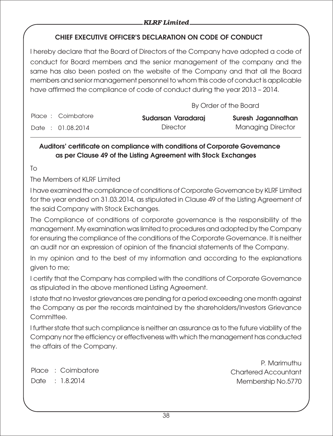#### **CHIEF EXECUTIVE OFFICER'S DECLARATION ON CODE OF CONDUCT**

I hereby declare that the Board of Directors of the Company have adopted a code of conduct for Board members and the senior management of the company and the same has also been posted on the website of the Company and that all the Board members and senior management personnel to whom this code of conduct is applicable have affirmed the compliance of code of conduct during the year 2013 – 2014.

By Order of the Board

| Place : Coimbatore | Sudarsan Varadaraj | Suresh Jagannathan       |
|--------------------|--------------------|--------------------------|
| Date: 01.08.2014   | Director           | <b>Managing Director</b> |

#### **Auditors' certificate on compliance with conditions of Corporate Governance as per Clause 49 of the Listing Agreement with Stock Exchanges**

To

The Members of KLRF Limited

I have examined the compliance of conditions of Corporate Governance by KLRF Limited for the year ended on 31.03.2014, as stipulated in Clause 49 of the Listing Agreement of the said Company with Stock Exchanges.

The Compliance of conditions of corporate governance is the responsibility of the management. My examination was limited to procedures and adopted by the Company for ensuring the compliance of the conditions of the Corporate Governance. It is neither an audit nor an expression of opinion of the financial statements of the Company.

In my opinion and to the best of my information and according to the explanations given to me;

I certify that the Company has complied with the conditions of Corporate Governance as stipulated in the above mentioned Listing Agreement.

I state that no Investor grievances are pending for a period exceeding one month against the Company as per the records maintained by the shareholders/Investors Grievance Committee.

I further state that such compliance is neither an assurance as to the future viability of the Company nor the efficiency or effectiveness with which the management has conducted the affairs of the Company.

Place : Coimbatore Date : 1.8.2014

P. Marimuthu Chartered Accountant Membership No.5770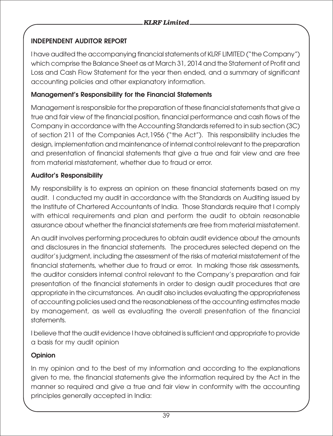#### **INDEPENDENT AUDITOR REPORT**

I have audited the accompanying financial statements of KLRF LIMITED ("the Company") which comprise the Balance Sheet as at March 31, 2014 and the Statement of Profit and Loss and Cash Flow Statement for the year then ended, and a summary of significant accounting policies and other explanatory information.

#### **Management's Responsibility for the Financial Statements**

Management is responsible for the preparation of these financial statements that give a true and fair view of the financial position, financial performance and cash flows of the Company in accordance with the Accounting Standards referred to in sub section (3C) of section 211 of the Companies Act,1956 ("the Act"). This responsibility includes the design, implementation and maintenance of internal control relevant to the preparation and presentation of financial statements that give a true and fair view and are free from material misstatement, whether due to fraud or error.

#### **Auditor's Responsibility**

My responsibility is to express an opinion on these financial statements based on my audit. I conducted my audit in accordance with the Standards on Auditing issued by the Institute of Chartered Accountants of India. Those Standards require that I comply with ethical requirements and plan and perform the audit to obtain reasonable assurance about whether the financial statements are free from material misstatement.

An audit involves performing procedures to obtain audit evidence about the amounts and disclosures in the financial statements. The procedures selected depend on the auditor's judgment, including the assessment of the risks of material misstatement of the financial statements, whether due to fraud or error. In making those risk assessments, the auditor considers internal control relevant to the Company's preparation and fair presentation of the financial statements in order to design audit procedures that are appropriate in the circumstances. An audit also includes evaluating the appropriateness of accounting policies used and the reasonableness of the accounting estimates made by management, as well as evaluating the overall presentation of the financial statements.

I believe that the audit evidence I have obtained is sufficient and appropriate to provide a basis for my audit opinion

#### **Opinion**

In my opinion and to the best of my information and according to the explanations given to me, the financial statements give the information required by the Act in the manner so required and give a true and fair view in conformity with the accounting principles generally accepted in India: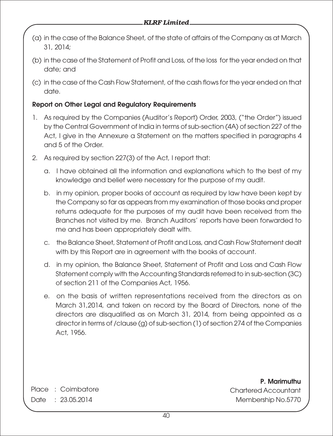- (a) in the case of the Balance Sheet, of the state of affairs of the Company as at March 31, 2014;
- (b) in the case of the Statement of Profit and Loss, of the loss for the year ended on that date; and
- (c) in the case of the Cash Flow Statement, of the cash flows for the year ended on that date.

#### **Report on Other Legal and Regulatory Requirements**

- 1. As required by the Companies (Auditor's Report) Order, 2003, ("the Order") issued by the Central Government of India in terms of sub-section (4A) of section 227 of the Act, I give in the Annexure a Statement on the matters specified in paragraphs 4 and 5 of the Order.
- 2. As required by section 227(3) of the Act, I report that:
	- a. I have obtained all the information and explanations which to the best of my knowledge and belief were necessary for the purpose of my audit.
	- b. in my opinion, proper books of account as required by law have been kept by the Company so far as appears from my examination of those books and proper returns adequate for the purposes of my audit have been received from the Branches not visited by me. Branch Auditors' reports have been forwarded to me and has been appropriately dealt with.
	- c. the Balance Sheet, Statement of Profit and Loss, and Cash Flow Statement dealt with by this Report are in agreement with the books of account.
	- d. in my opinion, the Balance Sheet, Statement of Profit and Loss and Cash Flow Statement comply with the Accounting Standards referred to in sub-section (3C) of section 211 of the Companies Act, 1956.
	- e. on the basis of written representations received from the directors as on March 31,2014, and taken on record by the Board of Directors, none of the directors are disqualified as on March 31, 2014, from being appointed as a director in terms of /clause (g) of sub-section (1) of section 274 of the Companies Act, 1956.

Place : Coimbatore Date : 23.05.2014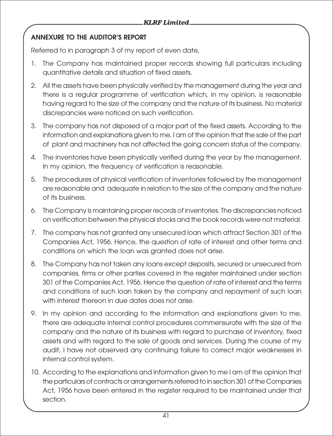### **ANNEXURE TO THE AUDITOR'S REPORT**

Referred to in paragraph 3 of my report of even date,

- 1. The Company has maintained proper records showing full particulars including quantitative details and situation of fixed assets.
- 2. All the assets have been physically verified by the management during the year and there is a regular programme of verification which, in my opinion, is reasonable having regard to the size of the company and the nature of its business. No material discrepancies were noticed on such verification.
- 3. The company has not disposed of a major part of the fixed assets. According to the information and explanations given to me, I am of the opinion that the sale of the part of plant and machinery has not affected the going concern status of the company.
- 4. The inventories have been physically verified during the year by the management. In my opinion, the frequency of verification is reasonable.
- 5. The procedures of physical verification of inventories followed by the management are reasonable and adequate in relation to the size of the company and the nature of its business.
- 6. The Company is maintaining proper records of inventories. The discrepancies noticed on verification between the physical stocks and the book records were not material.
- 7. The company has not granted any unsecured loan which attract Section 301 of the Companies Act, 1956. Hence, the question of rate of interest and other terms and conditions on which the loan was granted does not arise.
- 8. The Company has not taken any loans except deposits, secured or unsecured from companies, firms or other parties covered in the register maintained under section 301 of the Companies Act, 1956. Hence the question of rate of interest and the terms and conditions of such loan taken by the company and repayment of such loan with interest thereon in due dates does not arise.
- 9. In my opinion and according to the information and explanations given to me, there are adequate internal control procedures commensurate with the size of the company and the nature of its business with regard to purchase of inventory, fixed assets and with regard to the sale of goods and services. During the course of my audit, I have not observed any continuing failure to correct major weaknesses in internal control system.
- 10. According to the explanations and information given to me I am of the opinion that the particulars of contracts or arrangements referred to in section 301 of the Companies Act, 1956 have been entered in the register required to be maintained under that section.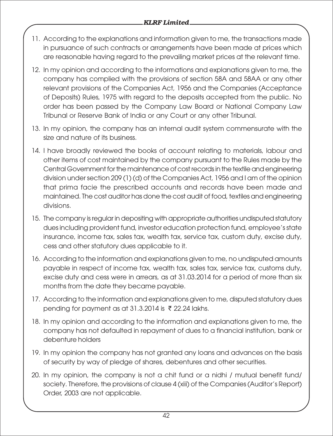- 11. According to the explanations and information given to me, the transactions made in pursuance of such contracts or arrangements have been made at prices which are reasonable having regard to the prevailing market prices at the relevant time.
- 12. In my opinion and according to the informations and explanations given to me, the company has complied with the provisions of section 58A and 58AA or any other relevant provisions of the Companies Act, 1956 and the Companies (Acceptance of Deposits) Rules, 1975 with regard to the deposits accepted from the public. No order has been passed by the Company Law Board or National Company Law Tribunal or Reserve Bank of India or any Court or any other Tribunal.
- 13. In my opinion, the company has an internal audit system commensurate with the size and nature of its business.
- 14. I have broadly reviewed the books of account relating to materials, labour and other items of cost maintained by the company pursuant to the Rules made by the Central Government for the maintenance of cost records in the textile and engineering division under section 209 (1) (d) of the Companies Act, 1956 and I am of the opinion that prima facie the prescribed accounts and records have been made and maintained. The cost auditor has done the cost audit of food, textiles and engineering divisions.
- 15. The company is regular in depositing with appropriate authorities undisputed statutory dues including provident fund, investor education protection fund, employee's state insurance, income tax, sales tax, wealth tax, service tax, custom duty, excise duty, cess and other statutory dues applicable to it.
- 16. According to the information and explanations given to me, no undisputed amounts payable in respect of income tax, wealth tax, sales tax, service tax, customs duty, excise duty and cess were in arrears, as at 31.03.2014 for a period of more than six months from the date they became payable.
- 17. According to the information and explanations given to me, disputed statutory dues pending for payment as at 31.3.2014 is  $\bar{\tau}$  22.24 lakhs.
- 18. In my opinion and according to the information and explanations given to me, the company has not defaulted in repayment of dues to a financial institution, bank or debenture holders
- 19. In my opinion the company has not granted any loans and advances on the basis of security by way of pledge of shares, debentures and other securities.
- 20. In my opinion, the company is not a chit fund or a nidhi / mutual benefit fund/ society. Therefore, the provisions of clause 4 (xiii) of the Companies (Auditor's Report) Order, 2003 are not applicable.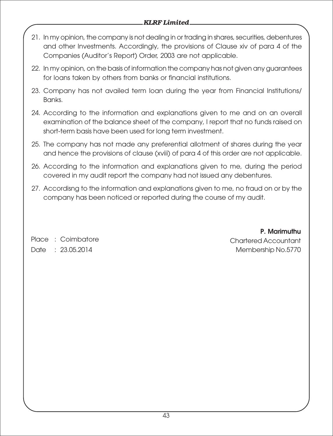- 21. In my opinion, the company is not dealing in or trading in shares, securities, debentures and other Investments. Accordingly, the provisions of Clause xiv of para 4 of the Companies (Auditor's Report) Order, 2003 are not applicable.
- 22. In my opinion, on the basis of information the company has not given any guarantees for loans taken by others from banks or financial institutions.
- 23. Company has not availed term loan during the year from Financial Institutions/ Banks.
- 24. According to the information and explanations given to me and on an overall examination of the balance sheet of the company, I report that no funds raised on short-term basis have been used for long term investment.
- 25. The company has not made any preferential allotment of shares during the year and hence the provisions of clause (xviii) of para 4 of this order are not applicable.
- 26. According to the information and explanations given to me, during the period covered in my audit report the company had not issued any debentures.
- 27. Accordisng to the information and explanations given to me, no fraud on or by the company has been noticed or reported during the course of my audit.

Place : Coimbatore Date : 23.05.2014

#### **P. Marimuthu** Chartered Accountant Membership No.5770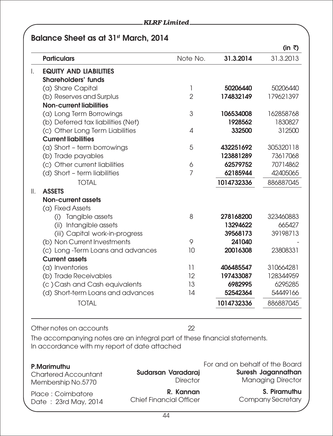# **Balance Sheet as at 31st March, 2014**

|    |                                    |                |            | (in ₹)    |
|----|------------------------------------|----------------|------------|-----------|
|    | <b>Particulars</b>                 | Note No.       | 31.3.2014  | 31.3.2013 |
|    | <b>EQUITY AND LIABILITIES</b>      |                |            |           |
|    | <b>Shareholders' funds</b>         |                |            |           |
|    | (a) Share Capital                  | 1              | 50206440   | 50206440  |
|    | (b) Reserves and Surplus           | $\overline{2}$ | 174832149  | 179621397 |
|    | <b>Non-current liabilities</b>     |                |            |           |
|    | (a) Long Term Borrowings           | 3              | 106534008  | 162858768 |
|    | (b) Deferred tax liabilities (Net) |                | 1928562    | 1830827   |
|    | (c) Other Long Term Liabilities    | 4              | 332500     | 312500    |
|    | <b>Current liabilities</b>         |                |            |           |
|    | (a) Short - term borrowings        | 5              | 432251692  | 305320118 |
|    | (b) Trade payables                 |                | 123881289  | 73617068  |
|    | (c) Other current liabilities      | 6              | 62579752   | 70714862  |
|    | (d) Short - term liabilities       | 7              | 62185944   | 42405065  |
|    | <b>TOTAL</b>                       |                | 1014732336 | 886887045 |
| Ш. | <b>ASSETS</b>                      |                |            |           |
|    | Non-current assets                 |                |            |           |
|    | (a) Fixed Assets                   |                |            |           |
|    | Tangible assets<br>(i)             | 8              | 278168200  | 323460883 |
|    | (ii) Intangible assets             |                | 13294622   | 665427    |
|    | (iii) Capital work-in-progress     |                | 39568173   | 39198713  |
|    | (b) Non Current Investments        | 9              | 241040     |           |
|    | (c) Long-Term Loans and advances   | 10             | 20016308   | 23808331  |
|    | <b>Current assets</b>              |                |            |           |
|    | (a) Inventories                    | 11             | 406485547  | 310664281 |
|    | (b) Trade Receivables              | 12             | 197433087  | 128344959 |
|    | (c) Cash and Cash equivalents      | 13             | 6982995    | 6295285   |
|    | (d) Short-term Loans and advances  | 14             | 52542364   | 54449166  |
|    | <b>TOTAL</b>                       |                | 1014732336 | 886887045 |
|    |                                    |                |            |           |

Other notes on accounts 22

The accompanying notes are an integral part of these financial statements. In accordance with my report of date attached

| P.Marimuthu<br><b>Chartered Accountant</b><br>Membership No.5770 | Sudarsan Varadaraj<br><b>Director</b> | For and on behalf of the Board<br>Suresh Jagannathan<br><b>Managing Director</b> |
|------------------------------------------------------------------|---------------------------------------|----------------------------------------------------------------------------------|
| Place : Coimbatore                                               | R. Kannan                             | S. Piramuthu                                                                     |
| Date: 23rd May, 2014                                             | <b>Chief Financial Officer</b>        | Company Secretary                                                                |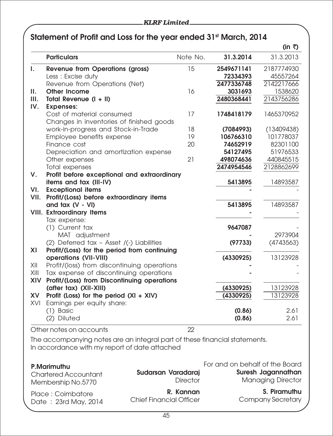| Statement of Profit and Loss for the year ended 31st March, 2014 |  |  |
|------------------------------------------------------------------|--|--|
|------------------------------------------------------------------|--|--|

|      |                                              |          |            | $(in \bar{z})$ |
|------|----------------------------------------------|----------|------------|----------------|
|      | <b>Particulars</b>                           | Note No. | 31.3.2014  | 31.3.2013      |
| I.   | <b>Revenue from Operations (gross)</b>       | 15       | 2549671141 | 2187774930     |
|      | Less : Excise duty                           |          | 72334393   | 45557264       |
|      | Revenue from Operations (Net)                |          | 2477336748 | 2142217666     |
| Ш.   | Other Income                                 | 16       | 3031693    | 1538620        |
| Ш.   | Total Revenue (I + II)                       |          | 2480368441 | 2143756286     |
| IV.  | <b>Expenses:</b>                             |          |            |                |
|      | Cost of material consumed                    | 17       | 1748418179 | 1465370952     |
|      | Changes in inventories of finished goods     |          |            |                |
|      | work-in-progress and Stock-in-Trade          | 18       | (7084993)  | (13409438)     |
|      | Employee benefits expense                    | 19       | 106766310  | 101778037      |
|      | Finance cost                                 | 20       | 74652919   | 82301100       |
|      | Depreciation and amortization expense        |          | 54127495   | 51976533       |
|      | Other expenses                               | 21       | 498074636  | 440845515      |
|      | Total expenses                               |          | 2474954546 | 2128862699     |
| V.   | Profit before exceptional and extraordinary  |          |            |                |
|      | items and tax (III-IV)                       |          | 5413895    | 14893587       |
| VI.  | <b>Exceptional items</b>                     |          |            |                |
| VII. | Profit/(Loss) before extraordinary items     |          |            |                |
|      | and $\text{tax}(V - VI)$                     |          | 5413895    | 14893587       |
|      | <b>VIII. Extraordinary Items</b>             |          |            |                |
|      | Tax expense:                                 |          |            |                |
|      | (1) Current tax                              |          | 9647087    |                |
|      | MAT adjustment                               |          |            | 2973904        |
|      | (2) Deferred tax - Asset /(-) Liabilities    |          | (97733)    | (4743563)      |
| XI   | Profit/(Loss) for the period from continuing |          |            |                |
|      | operations (VII-VIII)                        |          | (4330925)  | 13123928       |
| XII  | Profit/(loss) from discontinuing operations  |          |            |                |
| XIII | Tax expense of discontinuing operations      |          |            |                |
| XIV  | Profit/(Loss) from Discontinuing operations  |          |            |                |
|      | (after tax) (XII-XIII)                       |          | (4330925)  | 13123928       |
| XV   | Profit (Loss) for the period (XI + XIV)      |          | (4330925)  | 13123928       |
| XVI  | Earnings per equity share:                   |          |            |                |
|      | (1) Basic                                    |          | (0.86)     | 2.61           |
|      | (2) Diluted                                  |          | (0.86)     | 2.61           |
|      | Other notes on accounts                      | 22       |            |                |

The accompanying notes are an integral part of these financial statements. In accordance with my report of date attached

| P.Marimuthu<br><b>Chartered Accountant</b><br>Membership No.5770 | Sudarsan Varadaraj<br><b>Director</b> | For and on behalf of the Board<br>Suresh Jagannathan<br><b>Managing Director</b> |
|------------------------------------------------------------------|---------------------------------------|----------------------------------------------------------------------------------|
| Place: Coimbatore                                                | R. Kannan                             | S. Piramuthu                                                                     |
| Date: 23rd May, 2014                                             | <b>Chief Financial Officer</b>        | Company Secretary                                                                |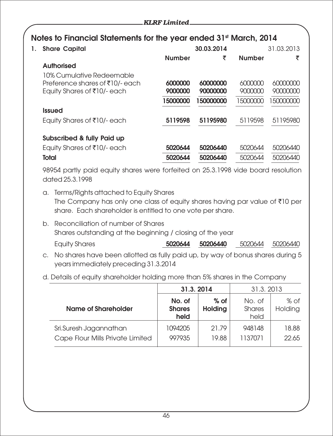# Notes to Financial Statements for the year ended 31<sup>st</sup> March, 2014

| <b>Share Capital</b>                   |               | 30.03.2014 |               | 31.03.2013 |
|----------------------------------------|---------------|------------|---------------|------------|
|                                        | <b>Number</b> | ₹          | <b>Number</b> | ₹          |
| <b>Authorised</b>                      |               |            |               |            |
| 10% Cumulative Redeemable              |               |            |               |            |
| Preference shares of ₹10/-each         | 6000000       | 60000000   | 6000000       | 60000000   |
| Equity Shares of $\bar{\tau}$ 10/-each | 9000000       | 90000000   | 9000000       | 90000000   |
|                                        | 15000000      | 150000000  | 15000000      | 150000000  |
| <b>Issued</b>                          |               |            |               |            |
| Equity Shares of $\bar{\tau}$ 10/-each | 5119598       | 51195980   | 5119598       | 51195980   |
| Subscribed & fully Paid up             |               |            |               |            |
| Equity Shares of $\bar{\tau}$ 10/-each | 5020644       | 50206440   | 5020644       | 50206440   |
| Total                                  | 5020644       | 50206440   | 5020644       | 50206440   |
|                                        |               |            |               |            |

98954 partly paid equity shares were forfeited on 25.3.1998 vide board resolution dated 25.3.1998

- a. Terms/Rights attached to Equity Shares The Company has only one class of equity shares having par value of  $\bar{\tau}$ 10 per share. Each shareholder is entitled to one vote per share.
- b. Reconciliation of number of Shares Shares outstanding at the beginning / closing of the year Equity Shares **5020644 50206440** 5020644 50206440
- c. No shares have been allotted as fully paid up, by way of bonus shares during 5 years immediately preceding 31.3.2014
- d. Details of equity shareholder holding more than 5% shares in the Company

|                                                            | 31.3.2014                       |                          | 31.3.2013                       |                   |
|------------------------------------------------------------|---------------------------------|--------------------------|---------------------------------|-------------------|
| Name of Shareholder                                        | No. of<br><b>Shares</b><br>held | $%$ of<br><b>Holding</b> | No. of<br><b>Shares</b><br>held | $%$ of<br>Holding |
| Sri.Suresh Jagannathan<br>Cape Flour Mills Private Limited | 1094205<br>997935               | 21.79<br>19.88           | 948148<br>1137071               | 18.88<br>22.65    |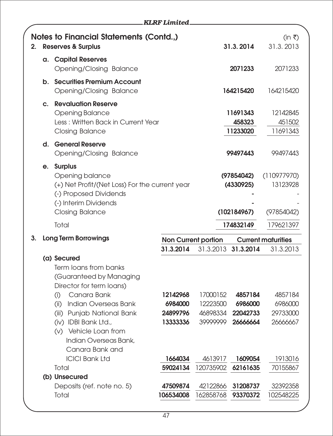|    |    |                                                                                                                                                                                                                                                          | <b>KLRF</b> Limited.                        |                                              |                                            |                                            |
|----|----|----------------------------------------------------------------------------------------------------------------------------------------------------------------------------------------------------------------------------------------------------------|---------------------------------------------|----------------------------------------------|--------------------------------------------|--------------------------------------------|
| 2. |    | <b>Notes to Financial Statements (Contd.,)</b><br><b>Reserves &amp; Surplus</b>                                                                                                                                                                          |                                             |                                              | 31.3.2014                                  | (in ₹)<br>31.3.2013                        |
|    |    | a. Capital Reserves<br>Opening/Closing Balance                                                                                                                                                                                                           |                                             |                                              | 2071233                                    | 2071233                                    |
|    |    | b. Securities Premium Account<br>Opening/Closing Balance                                                                                                                                                                                                 |                                             |                                              | 164215420                                  | 164215420                                  |
|    |    | c. Revaluation Reserve<br>Opening Balance<br>Less: Written Back in Current Year<br>Closing Balance                                                                                                                                                       |                                             |                                              | 11691343<br>458323<br>11233020             | 12142845<br>451502<br>11691343             |
|    |    | d. General Reserve<br>Opening/Closing Balance                                                                                                                                                                                                            |                                             |                                              | 99497443                                   | 99497443                                   |
|    | е. | <b>Surplus</b><br>Opening balance<br>(+) Net Profit/(Net Loss) For the current year<br>(-) Proposed Dividends<br>(-) Interim Dividends<br>Closing Balance                                                                                                |                                             |                                              | (97854042)<br>(4330925)<br>(102184967)     | (110977970)<br>13123928<br>(97854042)      |
|    |    | Total                                                                                                                                                                                                                                                    |                                             |                                              | 174832149                                  | 179621397                                  |
| 3. |    | <b>Long Term Borrowings</b>                                                                                                                                                                                                                              | 31.3.2014                                   | Non Current portion                          | 31.3.2013 31.3.2014                        | <b>Current maturities</b><br>31.3.2013     |
|    |    | (a) Secured<br>Term loans from banks<br>(Guaranteed by Managing<br>Director for term loans)<br>Canara Bank<br>(i)<br>Indian Overseas Bank<br>(i)<br>(iii) Punjab National Bank<br>(iv) IDBI Bank Ltd.,<br>(v) Vehicle Loan from<br>Indian Overseas Bank, | 12142968<br>6984000<br>24899796<br>13333336 | 17000152<br>12223500<br>46898334<br>39999999 | 4857184<br>6986000<br>22042733<br>26666664 | 4857184<br>6986000<br>29733000<br>26666667 |
|    |    | Canara Bank and<br><b>ICICI Bank Ltd</b><br>Total<br>(b) Unsecured                                                                                                                                                                                       | 1664034<br>59024134<br>47509874             | 4613917<br>120735902<br>42122866             | 1609054<br>62161635<br>31208737            | 1913016<br>70155867                        |
|    |    | Deposits (ref. note no. 5)<br>Total                                                                                                                                                                                                                      | 106534008                                   | 162858768                                    | 93370372                                   | 32392358<br>102548225                      |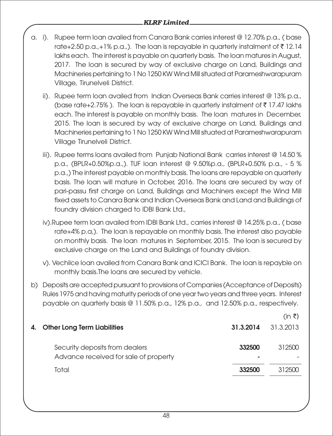- a. i). Rupee term loan availed from Canara Bank carries interest @ 12.70% p.a., ( base rate+2.50 p.a.,+1% p.a.,). The loan is repayable in quarterly instalment of  $\bar{\tau}$  12.14 lakhs each. The interest is payable on quarterly basis. The loan matures in August, 2017. The loan is secured by way of exclusive charge on Land, Buildings and Machineries pertaining to 1 No 1250 KW Wind Mill situated at Parameshwarapuram Village, Tirunelveli District.
	- ii). Rupee term loan availed from Indian Overseas Bank carries interest @ 13% p.a., (base rate+2.75%). The loan is repayable in quarterly instalment of  $\bar{\tau}$  17.47 lakhs each. The interest is payable on monthly basis. The loan matures in December, 2015. The loan is secured by way of exclusive charge on Land, Buildings and Machineries pertaining to 1 No 1250 KW Wind Mill situated at Parameshwarapuram Village Tirunelveli District.
	- iii). Rupee terms loans availed from Punjab National Bank carries interest @ 14.50 % p.a., (BPLR+0.50%p.a.,). TUF loan interest @ 9.50%p.a., (BPLR+0.50% p.a., - 5 % p.a.,) The interest payable on monthly basis. The loans are repayable on quarterly basis. The loan will mature in October, 2016. The loans are secured by way of pari-passu first charge on Land, Buildings and Machiners except the Wind Mill fixed assets to Canara Bank and Indian Overseas Bank and Land and Buildings of foundry division charged to IDBI Bank Ltd.,
	- iv).Rupee term loan availed from IDBI Bank Ltd., carries interest @ 14.25% p.a., ( base rate+4% p.a,). The loan is repayable on monthly basis. The interest also payable on monthly basis. The loan matures in September, 2015. The loan is secured by exclusive charge on the Land and Buildings of foundry division.
	- v). Vechilce loan availed from Canara Bank and ICICI Bank. The loan is repayble on monthly basis.The loans are secured by vehicle.
- b) Deposits are accepted pursuant to provisions of Companies (Acceptance of Deposits) Rules 1975 and having maturity periods of one year two years and three years. Interest payable on quarterly basis @ 11.50% p.a., 12% p.a., and 12.50% p.a., respectively.

| 4. Other Long Term Liabilities                                          | 31.3.2014 | (in ₹)<br>31.3.2013 |
|-------------------------------------------------------------------------|-----------|---------------------|
| Security deposits from dealers<br>Advance received for sale of property | 332500    | 312500              |
| Total                                                                   | 332500    | 312500              |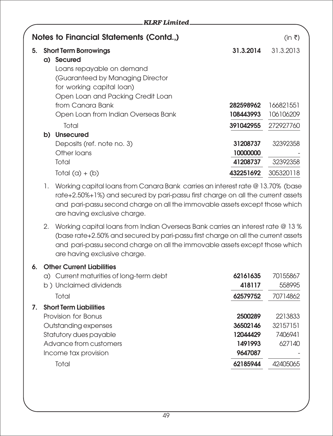|                                                                                                                                                                                                                                                                                                                                       | <b>KLRF Limited</b>                                                                                                                                                                                                                                                                       |                                               |                                   |  |  |
|---------------------------------------------------------------------------------------------------------------------------------------------------------------------------------------------------------------------------------------------------------------------------------------------------------------------------------------|-------------------------------------------------------------------------------------------------------------------------------------------------------------------------------------------------------------------------------------------------------------------------------------------|-----------------------------------------------|-----------------------------------|--|--|
|                                                                                                                                                                                                                                                                                                                                       | <b>Notes to Financial Statements (Contd.,)</b>                                                                                                                                                                                                                                            |                                               | (in ₹)                            |  |  |
| 5.                                                                                                                                                                                                                                                                                                                                    | <b>Short Term Borrowings</b><br>a) Secured<br>Loans repayable on demand<br>(Guaranteed by Managing Director<br>for working capital loan)<br>Open Loan and Packing Credit Loan                                                                                                             | 31.3.2014                                     | 31, 3, 2013                       |  |  |
|                                                                                                                                                                                                                                                                                                                                       | from Canara Bank<br>Open Loan from Indian Overseas Bank                                                                                                                                                                                                                                   | 282598962<br>108443993                        | 166821551<br>106106209            |  |  |
|                                                                                                                                                                                                                                                                                                                                       | Total<br><b>Unsecured</b><br>b)<br>Deposits (ref. note no. 3)<br>Other loans<br>Total                                                                                                                                                                                                     | 391042955<br>31208737<br>10000000<br>41208737 | 272927760<br>32392358<br>32392358 |  |  |
| Total $(a) + (b)$<br>432251692<br>305320118<br>Working capital loans from Canara Bank carries an interest rate @ 13.70% (base<br>1.<br>rate+2.50%+1%) and secured by pari-passu first charge on all the current assets<br>and pari-passu second charge on all the immovable assets except those which<br>are having exclusive charge. |                                                                                                                                                                                                                                                                                           |                                               |                                   |  |  |
|                                                                                                                                                                                                                                                                                                                                       | 2.<br>Working capital loans from Indian Overseas Bank carries an interest rate @ 13 %<br>(base rate+2.50% and secured by pari-passu first charge on all the current assets<br>and pari-passu second charge on all the immovable assets except those which<br>are having exclusive charge. |                                               |                                   |  |  |

# **6. Other Current Liabilities**

|    | a) Current maturities of long-term debt | 62161635 | 70155867 |
|----|-----------------------------------------|----------|----------|
|    | b) Unclaimed dividends                  | 418117   | 558995   |
|    | Total                                   | 62579752 | 70714862 |
| 7. | <b>Short Term Liabilities</b>           |          |          |
|    | Provision for Bonus                     | 2500289  | 2213833  |
|    | Outstanding expenses                    | 36502146 | 32157151 |
|    | Statutory dues payable                  | 12044429 | 7406941  |
|    | Advance from customers                  | 1491993  | 627140   |
|    | Income tax provision                    | 9647087  |          |
|    | Total                                   | 62185944 | 42405065 |
|    |                                         |          |          |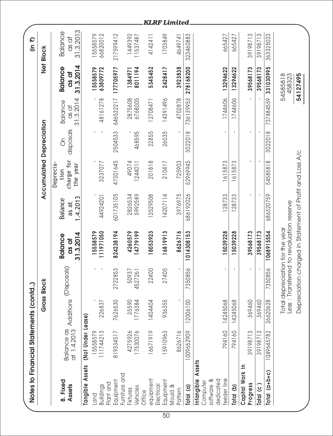| Notes to Financial Statemer                                                |                           | nts (contd.,)             |                  |                                                                              |                                                                |                                             |                       |                               |                                      | (in 7)                               |
|----------------------------------------------------------------------------|---------------------------|---------------------------|------------------|------------------------------------------------------------------------------|----------------------------------------------------------------|---------------------------------------------|-----------------------|-------------------------------|--------------------------------------|--------------------------------------|
|                                                                            |                           |                           | Gross Block      |                                                                              |                                                                | <b>Accumulated Depreciation</b>             |                       |                               | <b>Tel</b>                           | Block                                |
| 8. Fixed<br>Assets                                                         | Balance as<br>ot 1.4.2013 | ditions<br>$\overline{A}$ | (Disposals)      | 31.3.2014<br><b>Balance</b><br>as at                                         | .4.2013<br><b>Balance</b><br>as at<br>$\overline{\phantom{0}}$ | charge for<br>Deprecia-<br>the year<br>tion | disposals<br>$\delta$ | 31.3.2014<br>Balance<br>as at | 31.3.2014<br><b>Balance</b><br>as at | 31.3.2013<br><b>Balance</b><br>as at |
| Tangible Assets                                                            | (Not Under Lease)         |                           |                  |                                                                              |                                                                |                                             |                       |                               |                                      |                                      |
| Plant and<br><b>Buildings</b><br>Land                                      | 15558579<br>111744213     | 226837                    |                  | 15558579<br>111971050                                                        | 44924201                                                       | 3237077                                     | $\blacksquare$        | 48161278                      | 15558579<br>63809772                 | 15558579<br>66820012                 |
| Equipment                                                                  | 819334517                 | 7626530                   | 2722853          | 824238194                                                                    | 601735105                                                      | 47301645                                    | 2504533               | 646532217                     | 177705977                            | 217599412                            |
| Furniture and<br>Vehicles<br><b>Fixtures</b><br>Office                     | 4275926<br>17530076       | 35590<br>776384           | 50937<br>4527261 | 4260579<br>14779199                                                          | 5992589<br>2826534                                             | 49074<br>1244011                            | 468595                | 2875608<br>6768005            | 8011194<br>1384971                   | 1449392<br>11537487                  |
| equipment                                                                  | 16671919                  | 404404                    | 22400            | 18053923                                                                     | 12529508                                                       | 201818                                      | 22855                 | 12708471                      | 5345452                              | 4142411                              |
| Equipment<br>Electrical<br>Mould &                                         | 15910963                  | 936355                    | 27405            | 16819913                                                                     | 14207114                                                       | 210417                                      | 26035                 | 14391496                      | 2428417                              | 1703849                              |
| Pattern                                                                    | 8626716                   |                           |                  | 8626716                                                                      | 3976975                                                        | 725903                                      |                       | 4702878                       | 3923838                              | 4649741                              |
| Total (a)                                                                  | 1009652909                | 006100<br>$\geq$          | 7350856          | 1014308153                                                                   | 686192026                                                      | 52969945                                    | 3022018               | 736139953                     | 278168200                            | 323460883                            |
| Assets<br>feeder line<br>Intangible<br>software &<br>dedicated<br>Computer | 794160                    | 245068<br>$\overline{4}$  |                  | 15039228                                                                     | 128733                                                         | 1615873                                     | J.                    | 1744606                       | 13294622                             | 665427                               |
| Total (b)                                                                  | 794160                    | 245068<br>$\overline{4}$  |                  | 15039228                                                                     | 128733                                                         | 1615873                                     | ٠                     | 1744606                       | 13294622                             | 665427                               |
| Capital Work<br>Progress                                                   | 39198713                  | 369460                    |                  | 39568173                                                                     |                                                                |                                             |                       |                               | 39568173                             | 39198713                             |
| Total (c)                                                                  | 39198713                  | 369460                    |                  | 39568173                                                                     |                                                                |                                             |                       |                               | 39568173                             | 39198713                             |
| $Total (a + b + c)$                                                        | 1049645782                | 620628<br>26              | 7350856          | 1068915554                                                                   | 686320759                                                      | 54585818                                    | 3022018               | 737884559                     | 331030995                            | 363325023                            |
|                                                                            |                           |                           |                  | Less : Transferred to revaluation reserve<br>Total depreciation for the year |                                                                |                                             |                       |                               | 54585818<br>458323                   |                                      |
|                                                                            |                           |                           |                  | Depreciation charged in Statement of Profit and Loss A/c                     |                                                                |                                             |                       |                               | 54127495                             |                                      |

*KLRF Limited*

50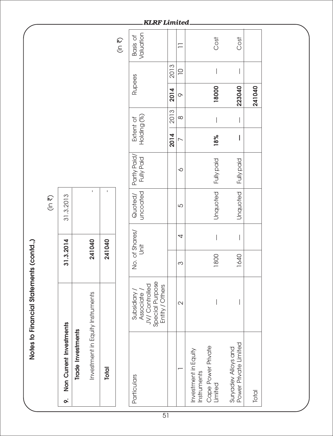|                                         |      |                                     |                   |                                  |              |        | KLKF Limited                                                                        |        |             |                                                                             |                                              |        |         |      |      |  |  |
|-----------------------------------------|------|-------------------------------------|-------------------|----------------------------------|--------------|--------|-------------------------------------------------------------------------------------|--------|-------------|-----------------------------------------------------------------------------|----------------------------------------------|--------|---------|------|------|--|--|
|                                         |      |                                     |                   |                                  |              | (in 7) | Valuation<br>Basis of                                                               |        | Ξ           | Cost                                                                        | Cost                                         |        |         |      |      |  |  |
|                                         |      |                                     |                   |                                  |              |        |                                                                                     | 2013   | $\supseteq$ |                                                                             |                                              |        |         |      |      |  |  |
|                                         |      |                                     |                   |                                  |              |        | Rupees                                                                              | 2014   | $\circ$     | 18000                                                                       | 223040                                       | 241040 |         |      |      |  |  |
|                                         |      |                                     |                   |                                  |              |        |                                                                                     | 2013   | $\infty$    |                                                                             |                                              |        |         |      |      |  |  |
|                                         |      |                                     |                   |                                  |              |        | Holding (%)<br>Extent of                                                            | 2014   |             | 18%                                                                         |                                              |        |         |      |      |  |  |
|                                         |      |                                     |                   |                                  |              |        | Partly Paid/<br>Fully Paid                                                          |        | ∘           | Fully paid                                                                  | Fully paid                                   |        |         |      |      |  |  |
|                                         | (54) | 31.3.2013                           |                   | $\mathbf{I}$                     | $\mathbf{I}$ |        | uncoated<br>Quoted/                                                                 |        | 5           | Unquoted                                                                    | Unquoted                                     |        |         |      |      |  |  |
|                                         |      |                                     |                   |                                  |              |        |                                                                                     |        | 4           |                                                                             |                                              |        |         |      |      |  |  |
|                                         |      |                                     |                   |                                  | 31.3.2014    |        |                                                                                     | 241040 | 241040      |                                                                             | No. of Shares/<br>Unit                       |        | <u></u> | 1800 | 1640 |  |  |
| Notes to Financial Statements (contd.,) |      |                                     |                   |                                  |              |        | Subsidiary /<br>Associate /<br>JV/ Controlled<br>Special Purpose<br>Entity / Others |        | $\sim$      |                                                                             |                                              |        |         |      |      |  |  |
|                                         |      | Non Current Investments<br>$\infty$ | Trade Investments | Investment in Equity Instruments | <b>Total</b> |        | Particulars                                                                         |        |             | Cape Power Private<br>Investment in Equity<br><b>Instruments</b><br>Limited | Power Private Limited<br>Suryadev Alloys and | Total  |         |      |      |  |  |

*KLRF Limited*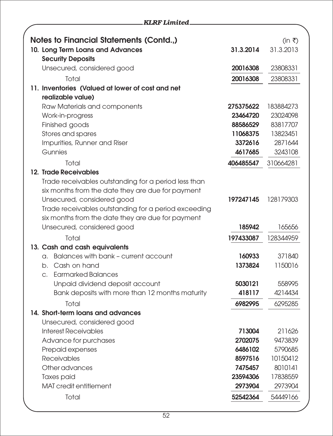| <b>KLRF Limited</b>                                                                 |                     |                     |
|-------------------------------------------------------------------------------------|---------------------|---------------------|
|                                                                                     |                     |                     |
| Notes to Financial Statements (Contd.,)                                             |                     | $(in \bar{z})$      |
| 10. Long Term Loans and Advances                                                    | 31.3.2014           | 31.3.2013           |
| <b>Security Deposits</b><br>Unsecured, considered good                              | 20016308            | 23808331            |
| Total                                                                               |                     |                     |
| 11. Inventories (Valued at lower of cost and net                                    | 20016308            | 23808331            |
| realizable value)                                                                   |                     |                     |
| Raw Materials and components                                                        | 275375622           | 183884273           |
| Work-in-progress                                                                    | 23464720            | 23024098            |
| Finished goods                                                                      | 88586529            | 83817707            |
| Stores and spares                                                                   | 11068375            | 13823451            |
| Impurities, Runner and Riser                                                        | 3372616             | 2871644             |
| Gunnies                                                                             | 4617685             | 3243108             |
| Total                                                                               | 406485547           | 310664281           |
| 12. Trade Receivables                                                               |                     |                     |
| Trade receivables outstanding for a period less than                                |                     |                     |
| six months from the date they are due for payment                                   |                     |                     |
| Unsecured, considered good                                                          | 197247145           | 128179303           |
| Trade receivables outstanding for a period exceeding                                |                     |                     |
| six months from the date they are due for payment<br>Unsecured, considered good     | 185942              | 165656              |
|                                                                                     |                     |                     |
| Total                                                                               | 197433087           | 128344959           |
| 13. Cash and cash equivalents<br>Balances with bank - current account<br>$\Omega$ . | 160933              | 371840              |
| b. Cash on hand                                                                     | 1373824             | 1150016             |
| c. Earmarked Balances                                                               |                     |                     |
| Unpaid dividend deposit account                                                     | 5030121             | 558995              |
| Bank deposits with more than 12 months maturity                                     | 418117              | 4214434             |
| Total                                                                               | 6982995             | 6295285             |
| 14. Short-term loans and advances                                                   |                     |                     |
| Unsecured, considered good                                                          |                     |                     |
| <b>Interest Receivables</b>                                                         | 713004              | 211626              |
| Advance for purchases                                                               | 2702075             | 9473839             |
| Prepaid expenses                                                                    | 6486102             | 5790685             |
| <b>Receivables</b>                                                                  | 8597516             | 10150412            |
| Other advances                                                                      | 7475457             | 8010141             |
| Taxes paid<br>MAT credit entitlement                                                | 23594306<br>2973904 | 17838559<br>2973904 |
|                                                                                     |                     |                     |
| Total                                                                               | 52542364            | 54449166            |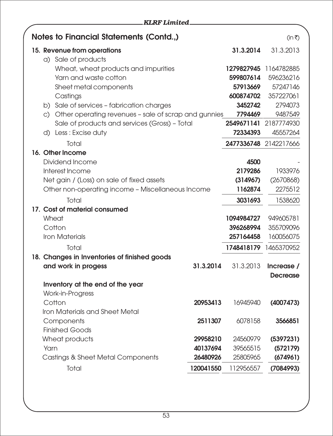| <b>KLRF Limited</b>                                     |           |            |                       |
|---------------------------------------------------------|-----------|------------|-----------------------|
| <b>Notes to Financial Statements (Contd.,)</b>          |           |            | (in ₹)                |
| 15. Revenue from operations                             |           | 31.3.2014  | 31.3.2013             |
| a) Sale of products                                     |           |            |                       |
| Wheat, wheat products and impurities                    |           |            | 1279827945 1164782885 |
| Yarn and waste cotton                                   |           | 599807614  | 596236216             |
| Sheet metal components                                  |           | 57913669   | 57247146              |
| Castings                                                |           | 600874702  | 357227061             |
| b) Sale of services - fabrication charges               |           | 3452742    | 2794073               |
| c) Other operating revenues - sale of scrap and gunnies |           | 7794469    | 9487549               |
| Sale of products and services (Gross) - Total           |           |            | 2549671141 2187774930 |
| d) Less : Excise duty                                   |           | 72334393   | 45557264              |
| Total                                                   |           |            | 2477336748 2142217666 |
| 16. Other Income                                        |           |            |                       |
| Dividend Income                                         |           | 4500       |                       |
| Interest Income                                         |           | 2179286    | 1933976               |
| Net gain / (Loss) on sale of fixed assets               |           | (314967)   | (2670868)             |
| Other non-operating income - Miscellaneous Income       |           | 1162874    | 2275512               |
| Total                                                   |           | 3031693    | 1538620               |
| 17. Cost of material consumed                           |           |            |                       |
| Wheat                                                   |           | 1094984727 | 949605781             |
| Cotton                                                  |           | 396268994  | 355709096             |
| <b>Iron Materials</b>                                   |           | 257164458  | 160056075             |
| Total                                                   |           |            | 1748418179 1465370952 |
| 18. Changes in Inventories of finished goods            |           |            |                       |
| and work in progess                                     | 31.3.2014 | 31.3.2013  | Increase /            |
|                                                         |           |            | <b>Decrease</b>       |
| Inventory at the end of the year                        |           |            |                       |
| Work-in-Progress                                        |           |            |                       |
| Cotton                                                  | 20953413  | 16945940   | (4007473)             |
| Iron Materials and Sheet Metal                          |           |            |                       |
| Components                                              | 2511307   | 6078158    | 3566851               |
| <b>Finished Goods</b>                                   |           |            |                       |
| Wheat products                                          | 29958210  | 24560979   | (5397231)             |
| Yarn                                                    | 40137694  | 39565515   | (572179)              |
| Castings & Sheet Metal Components                       | 26480926  | 25805965   | (674961)              |
| Total                                                   | 120041550 | 112956557  | (7084993)             |
|                                                         |           |            |                       |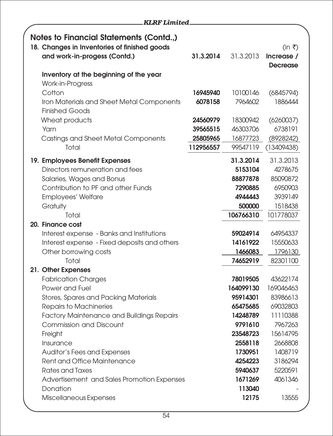| <b>KLRF Limited</b>                                                                                                            |           |           |                                         |
|--------------------------------------------------------------------------------------------------------------------------------|-----------|-----------|-----------------------------------------|
| <b>Notes to Financial Statements (Contd.,)</b><br>18. Changes in Inventories of finished goods<br>and work-in-progess (Contd.) | 31.3.2014 | 31,3,2013 | (in ₹)<br>Increase /<br><b>Decrease</b> |
| Inventory at the beginning of the year                                                                                         |           |           |                                         |
| Work-in-Progress                                                                                                               |           |           |                                         |
| Cotton                                                                                                                         | 16945940  | 10100146  | (6845794)                               |
| Iron Materials and Sheet Metal Components<br><b>Finished Goods</b>                                                             | 6078158   | 7964602   | 1886444                                 |
| Wheat products                                                                                                                 | 24560979  | 18300942  | (6260037)                               |
| Yarn                                                                                                                           | 39565515  | 46303706  | 6738191                                 |
| Castings and Sheet Metal Components                                                                                            | 25805965  | 16877723  | (8928242)                               |
| Total                                                                                                                          | 112956557 | 99547119  | (13409438)                              |
| 19. Employees Benefit Expenses                                                                                                 |           | 31.3.2014 | 31.3.2013                               |
| Directors remuneration and fees                                                                                                |           | 5153104   | 4278675                                 |
| Salaries, Wages and Bonus                                                                                                      |           | 88877878  | 85090872                                |
| Contribution to PF and other Funds                                                                                             |           | 7290885   | 6950903                                 |
| Employees' Welfare                                                                                                             |           | 4944443   | 3939149                                 |
| Gratuity                                                                                                                       |           | 500000    | 1518438                                 |
| Total                                                                                                                          |           | 106766310 | 101778037                               |
| 20. Finance cost                                                                                                               |           |           |                                         |
| Interest expense - Banks and Institutions                                                                                      |           | 59024914  | 64954337                                |
| Interest expense - Fixed deposits and others                                                                                   |           | 14161922  | 15550633                                |
| Other borrowing costs                                                                                                          |           | 1466083   | 1796130                                 |
| Total                                                                                                                          |           | 74652919  | 82301100                                |
| 21. Other Expenses                                                                                                             |           |           |                                         |
| <b>Fabrication Charges</b>                                                                                                     |           | 78019505  | 43622174                                |
| Power and Fuel                                                                                                                 |           | 164099130 | 169046463                               |
| Stores, Spares and Packing Materials                                                                                           |           | 95914301  | 83986613                                |
| <b>Repairs to Machineries</b>                                                                                                  |           | 65475685  | 69032803                                |
| Factory Maintenance and Buildings Repairs                                                                                      |           | 14248789  | 11110388                                |
| Commission and Discount                                                                                                        |           | 9791610   | 7967263                                 |
| Freight                                                                                                                        |           | 23548723  | 15614795                                |
| Insurance                                                                                                                      |           | 2558118   | 2668808                                 |
| Auditor's Fees and Expenses                                                                                                    |           | 1730951   | 1408719                                 |
| Rent and Office Maintenance                                                                                                    |           | 4254223   | 3186294                                 |
| Rates and Taxes                                                                                                                |           | 5940637   | 5220591                                 |
| Advertisement and Sales Promotion Expenses                                                                                     |           | 1671269   | 4061346                                 |
| Donation                                                                                                                       |           | 113040    |                                         |
| Miscellaneous Expenses                                                                                                         |           | 12175     | 13555                                   |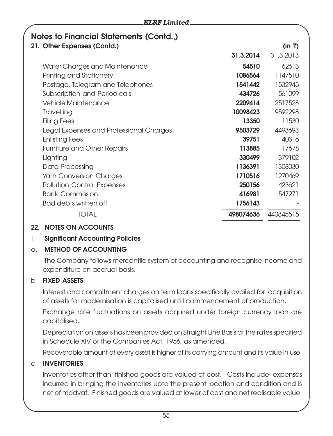| <b>KLRF Limited</b>                     |           |           |
|-----------------------------------------|-----------|-----------|
| Notes to Financial Statements (Contd.,) |           |           |
| 21. Other Expenses (Contd.)             |           | (in ₹)    |
|                                         | 31.3.2014 | 31.3.2013 |
| Water Charges and Maintenance           | 54510     | 62613     |
| Printing and Stationery                 | 1086564   | 1147510   |
| Postage, Telegram and Telephones        | 1541442   | 1532945   |
| Subscription and Periodicals            | 434726    | 561099    |
| Vehicle Maintenance                     | 2209414   | 2517528   |
| Travelling                              | 10098423  | 9592298   |
| <b>Filing Fees</b>                      | 13350     | 11530     |
| Legal Expenses and Professional Charges | 9503729   | 4493693   |
| <b>Enlisting Fees</b>                   | 39751     | 40316     |
| <b>Furniture and Other Repairs</b>      | 113885    | 17678     |
| Lighting                                | 330499    | 379102    |
| Data Processing                         | 1136391   | 1308030   |
| Yarn Conversion Charges                 | 1710516   | 1270469   |
| <b>Pollution Control Expenses</b>       | 250156    | 423621    |
| <b>Bank Commission</b>                  | 416981    | 547271    |
| Bad debts written off                   | 1756143   |           |
| <b>TOTAL</b>                            | 498074636 | 440845515 |
|                                         |           |           |

#### **22. NOTES ON ACCOUNTS**

#### 1 **Significant Accounting Policies**

#### a. **METHOD OF ACCOUNTING**

 The Company follows mercantile system of accounting and recognise income and expenditure on accrual basis.

#### b **FIXED ASSETS**

Interest and commitment charges on term loans specifically availed for acquisition of assets for modernisation is capitalised untill commencement of production.

Exchange rate fluctuations on assets acquired under foreign currency loan are capitalised.

Depreciation on assets has been provided on Straight Line Basis at the rates specified in Schedule XIV of the Companies Act, 1956, as amended.

Recoverable amount of every asset is higher of its carrying amount and its value in use.

#### c **INVENTORIES**

Inventories other than finished goods are valued at cost. Costs include expenses incurred in bringing the inventories upto the present location and condition and is net of modvat. Finished goods are valued at lower of cost and net realisable value.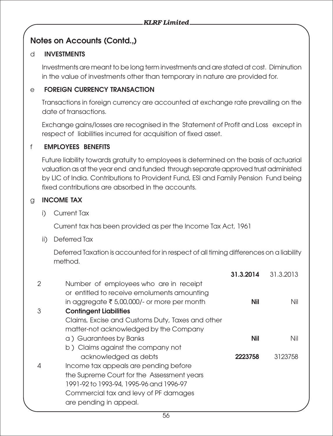# **Notes on Accounts (Contd.,)**

#### d **INVESTMENTS**

Investments are meant to be long term investments and are stated at cost. Diminution in the value of investments other than temporary in nature are provided for.

#### e **FOREIGN CURRENCY TRANSACTION**

Transactions in foreign currency are accounted at exchange rate prevailing on the date of transactions.

Exchange gains/losses are recognised in the Statement of Profit and Loss except in respect of liabilities incurred for acquisition of fixed asset.

#### f **EMPLOYEES BENEFITS**

Future liability towards gratuity to employees is determined on the basis of actuarial valuation as at the year end and funded through separate approved trust administed by LIC of India. Contributions to Provident Fund, ESI and Family Pension Fund being fixed contributions are absorbed in the accounts.

#### g **INCOME TAX**

i) Current Tax

Current tax has been provided as per the Income Tax Act, 1961

ii) Deferred Tax

Deferred Taxation is accounted for in respect of all timing differences on a liability method.

|   |                                                                                                                                                 | 31.3.2014  | 31.3.2013 |
|---|-------------------------------------------------------------------------------------------------------------------------------------------------|------------|-----------|
| 2 | Number of employees who are in receipt<br>or entitled to receive emoluments amounting<br>in aggregate $\bar{\tau}$ 5,00,000/- or more per month | Nil        | Nil       |
| З | <b>Contingent Liabilities</b>                                                                                                                   |            |           |
|   | Claims, Excise and Customs Duty, Taxes and other<br>matter-not acknowledged by the Company                                                      |            |           |
|   | a) Guarantees by Banks                                                                                                                          | <b>Nil</b> | Nil       |
|   | b) Claims against the company not                                                                                                               |            |           |
|   | acknowledged as debts                                                                                                                           | 2223758    | 3123758   |
| 4 | Income tax appeals are pending before                                                                                                           |            |           |
|   | the Supreme Court for the Assessment years                                                                                                      |            |           |
|   | 1991-92 to 1993-94, 1995-96 and 1996-97                                                                                                         |            |           |
|   | Commercial tax and levy of PF damages                                                                                                           |            |           |
|   | are pending in appeal.                                                                                                                          |            |           |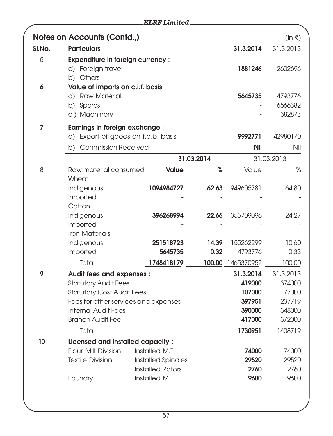|        | Notes on Accounts (Contd.,)                                                                                                          |                                                                |            |                                         | (in ₹)                                 |
|--------|--------------------------------------------------------------------------------------------------------------------------------------|----------------------------------------------------------------|------------|-----------------------------------------|----------------------------------------|
| SI.No. | <b>Particulars</b>                                                                                                                   |                                                                |            | 31.3.2014                               | 31.3.2013                              |
| 5<br>6 | <b>Expenditure in foreign currency:</b><br>a) Foreign travel<br>b) Others<br>Value of imports on c.i.f. basis                        |                                                                |            | 1881246                                 | 2602696                                |
|        | a) Raw Material<br>b) Spares<br>c) Machinery                                                                                         |                                                                |            | 5645735                                 | 4793776<br>6566382<br>382873           |
| 7      | Earnings in foreign exchange :<br>a) Export of goods on f.o.b. basis                                                                 |                                                                |            | 9992771                                 | 42980170                               |
|        | <b>Commission Received</b><br>b)                                                                                                     |                                                                |            | <b>Nil</b>                              | Nil                                    |
|        |                                                                                                                                      |                                                                | 31.03.2014 |                                         | 31.03.2013                             |
| 8      | Raw material consumed<br>Wheat                                                                                                       | <b>Value</b>                                                   | %          | Value                                   | %                                      |
|        | Indigenous                                                                                                                           | 1094984727                                                     | 62.63      | 949605781                               | 64.80                                  |
|        | Imported<br>Cotton                                                                                                                   |                                                                |            |                                         |                                        |
|        | Indigenous<br>Imported                                                                                                               | 396268994                                                      | 22.66      | 355709096                               | 24.27                                  |
|        | Iron Materials                                                                                                                       |                                                                |            |                                         |                                        |
|        | Indigenous                                                                                                                           | 251518723                                                      | 14.39      | 155262299                               | 10.60                                  |
|        | Imported                                                                                                                             | 5645735                                                        | 0.32       | 4793776                                 | 0.33                                   |
|        | Total                                                                                                                                | 1748418179                                                     | 100.00     | 1465370952                              | 100.00                                 |
| 9      | Audit fees and expenses :<br><b>Statutory Audit Fees</b><br><b>Statutory Cost Audit Fees</b><br>Fees for other services and expenses |                                                                |            | 31.3.2014<br>419000<br>107000<br>397951 | 31.3.2013<br>374000<br>77000<br>237719 |
|        | <b>Internal Audit Fees</b><br><b>Branch Audit Fee</b>                                                                                |                                                                |            | 390000<br>417000                        | 348000<br>372000                       |
|        | Total                                                                                                                                |                                                                |            | 1730951                                 | 1408719                                |
| 10     | Licensed and installed capacity:                                                                                                     |                                                                |            |                                         |                                        |
|        | Flour Mill Division<br><b>Textile Division</b>                                                                                       | Installed M.T<br>Installed Spindles<br><b>Installed Rotors</b> |            | 74000<br>29520<br>2760                  | 74000<br>29520<br>2760                 |
|        | Foundry                                                                                                                              | Installed M.T                                                  |            | 9600                                    | 9600                                   |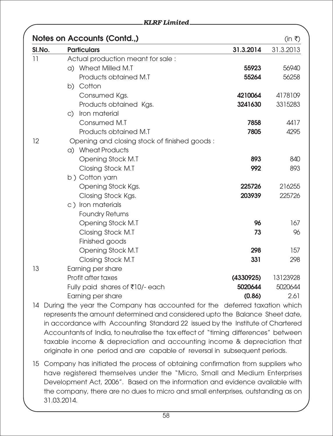|        | Notes on Accounts (Contd.,)                                                  |           | (in ₹)    |
|--------|------------------------------------------------------------------------------|-----------|-----------|
| SI.No. | <b>Particulars</b>                                                           | 31.3.2014 | 31.3.2013 |
| 11     | Actual production meant for sale:                                            |           |           |
|        | a) Wheat Milled M.T                                                          | 55923     | 56940     |
|        | Products obtained M.T                                                        | 55264     | 56258     |
|        | b) Cotton                                                                    |           |           |
|        | Consumed Kgs.                                                                | 4210064   | 4178109   |
|        | Products obtained Kgs.                                                       | 3241630   | 3315283   |
|        | c) Iron material                                                             |           |           |
|        | Consumed M.T                                                                 | 7858      | 4417      |
|        | Products obtained M.T                                                        | 7805      | 4295      |
| 12     | Opening and closing stock of finished goods:                                 |           |           |
|        | a) Wheat Products                                                            |           |           |
|        | Opening Stock M.T                                                            | 893       | 840       |
|        | Closing Stock M.T                                                            | 992       | 893       |
|        | b) Cotton yarn                                                               |           |           |
|        | Opening Stock Kgs.                                                           | 225726    | 216255    |
|        | Closing Stock Kgs.                                                           | 203939    | 225726    |
|        | c) Iron materials                                                            |           |           |
|        | <b>Foundry Returns</b>                                                       |           |           |
|        | Opening Stock M.T                                                            | 96        | 167       |
|        | Closing Stock M.T                                                            | 73        | 96        |
|        | Finished goods                                                               |           |           |
|        | Opening Stock M.T                                                            | 298       | 157       |
|        | Closing Stock M.T                                                            | 331       | 298       |
| 13     | Earning per share                                                            |           |           |
|        | Profit after taxes                                                           | (4330925) | 13123928  |
|        | Fully paid shares of ₹10/- each                                              | 5020644   | 5020644   |
|        | Earning per share                                                            | (0.86)    | 2.61      |
|        | 14 During the year the Campany has generated for the deferred toyation which |           |           |

- 14 During the year the Company has accounted for the deferred taxation which represents the amount determined and considered upto the Balance Sheet date, in accordance with Accounting Standard 22 issued by the Institute of Chartered Accountants of India, to neutralise the tax effect of "timing differences" between taxable income & depreciation and accounting income & depreciation that originate in one period and are capable of reversal in subsequent periods.
- 15 Company has initiated the process of obtaining confirmation from suppliers who have registered themselves under the "Micro, Small and Medium Enterprises Development Act, 2006". Based on the information and evidence available with the company, there are no dues to micro and small enterprises, outstanding as on 31.03.2014.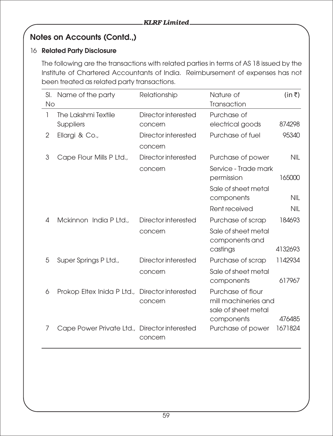# **Notes on Accounts (Contd.,)**

#### 16 **Related Party Disclosure**

The following are the transactions with related parties in terms of AS 18 issued by the Institute of Chartered Accountants of India. Reimbursement of expenses has not been treated as related party transactions.

| SI.<br>No | Name of the party                            | Relationship                          | Nature of<br>Transaction                                                       | (in ₹)                   |
|-----------|----------------------------------------------|---------------------------------------|--------------------------------------------------------------------------------|--------------------------|
| 1         | The Lakshmi Textile<br>Suppliers             | Director interested<br>concern        | Purchase of<br>electrical goods                                                | 874298                   |
| 2         | Ellargi & Co.,                               | Director interested<br>concern        | Purchase of fuel                                                               | 95340                    |
| 3         | Cape Flour Mills P Ltd.,                     | Director interested<br>concern        | Purchase of power<br>Service - Trade mark<br>permission                        | <b>NIL</b><br>165000     |
|           |                                              |                                       | Sale of sheet metal<br>components<br>Rent received                             | <b>NIL</b><br><b>NIL</b> |
| 4         | Mckinnon India P Ltd.,                       | Director interested<br>concern        | Purchase of scrap<br>Sale of sheet metal<br>components and<br>castings         | 184693<br>4132693        |
| 5         | Super Springs P Ltd.,                        | Director interested<br>concern        | Purchase of scrap<br>Sale of sheet metal<br>components                         | 1142934<br>617967        |
| 6         | Prokop Eltex Inida P Ltd.,                   | <b>Director interested</b><br>concern | Purchase of flour<br>mill machineries and<br>sale of sheet metal<br>components | 476485                   |
| 7         | Cape Power Private Ltd., Director interested | concern                               | Purchase of power                                                              | 1671824                  |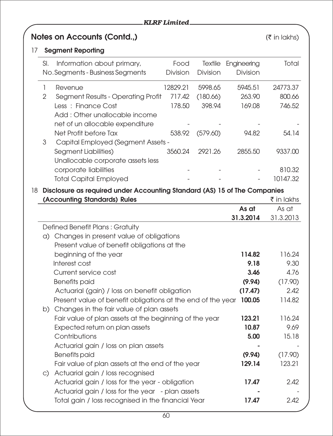# **Notes on Accounts (Contd.,)** (*†* in lakhs)

#### 17 **Segment Reporting**

| SI. | Information about primary,<br>No. Segments - Business Segments | Food<br>Division | Textile<br>Division | Engineering<br>Division | Total    |
|-----|----------------------------------------------------------------|------------------|---------------------|-------------------------|----------|
|     |                                                                |                  |                     |                         |          |
|     | Revenue                                                        | 12829.21         | 5998.65             | 5945.51                 | 24773.37 |
| 2   | Segment Results - Operating Profit                             | 717.42           | (180.66)            | 263.90                  | 800.66   |
|     | Less: Finance Cost                                             | 178.50           | 398.94              | 169.08                  | 746.52   |
|     | Add : Other unallocable income                                 |                  |                     |                         |          |
|     | net of un allocable expenditure                                |                  |                     |                         |          |
|     | Net Profit before Tax                                          | 538.92           | (579.60)            | 94.82                   | 54.14    |
| 3   | Capital Employed (Segment Assets -                             |                  |                     |                         |          |
|     | Segment Liabilities)                                           | 3560.24          | 2921.26             | 2855.50                 | 9337.00  |
|     | Unallocable corporate assets less                              |                  |                     |                         |          |
|     | corporate liabilities                                          |                  |                     |                         | 810.32   |
|     | <b>Total Capital Employed</b>                                  |                  |                     |                         | 10147.32 |

#### 18 **Disclosure as required under Accounting Standard (AS) 15 of The Companies (Accounting Standards) Rules** ` in lakhs

| (ACCOUNTING STANDATES) RUIES                                |           | K INTOKNS |
|-------------------------------------------------------------|-----------|-----------|
|                                                             | As at     | As at     |
|                                                             | 31.3.2014 | 31.3.2013 |
| <b>Defined Benefit Plans: Gratuity</b>                      |           |           |
| Changes in present value of obligations<br>Q)               |           |           |
| Present value of benefit obligations at the                 |           |           |
| beginning of the year                                       | 114.82    | 116.24    |
| Interest cost                                               | 9.18      | 9.30      |
| Current service cost                                        | 3.46      | 4.76      |
| Benefits paid                                               | (9.94)    | (17.90)   |
| Actuarial (gain) / loss on benefit obligation               | (17.47)   | 2.42      |
| Present value of benefit obligations at the end of the year | 100.05    | 114.82    |
| Changes in the fair value of plan assets<br>b)              |           |           |
| Fair value of plan assets at the beginning of the year      | 123.21    | 116.24    |
| Expected return on plan assets                              | 10.87     | 9.69      |
| Contributions                                               | 5.00      | 15.18     |
| Actuarial gain / loss on plan assets                        |           |           |
| <b>Benefits paid</b>                                        | (9.94)    | (17.90)   |
| Fair value of plan assets at the end of the year            | 129.14    | 123.21    |
| Actuarial gain / loss recognised<br>$\circ$                 |           |           |
| Actuarial gain / loss for the year - obligation             | 17.47     | 2.42      |
| Actuarial gain / loss for the year - plan assets            |           |           |
| Total gain / loss recognised in the financial Year          | 17.47     | 2.42      |
|                                                             |           |           |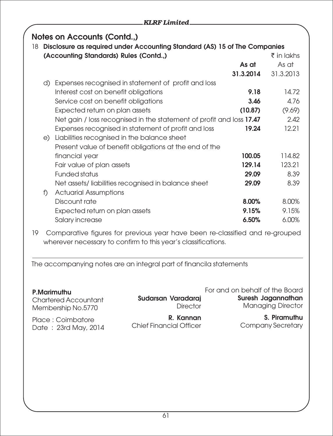| Notes on Accounts (Contd.,) |  |
|-----------------------------|--|
|-----------------------------|--|

#### 18 **Disclosure as required under Accounting Standard (AS) 15 of The Companies (Accounting Standards) Rules (Contd.)**  $\bar{\tau}$  in lakhs

|    | (ACCOUTING SIGNOGRAPS RUISS (CONTO)                                  |           | л III кил Б |
|----|----------------------------------------------------------------------|-----------|-------------|
|    |                                                                      | As at     | As at       |
|    |                                                                      | 31.3.2014 | 31.3.2013   |
| d) | Expenses recognised in statement of profit and loss                  |           |             |
|    | Interest cost on benefit obligations                                 | 9.18      | 14.72       |
|    | Service cost on benefit obligations                                  | 3.46      | 4.76        |
|    | Expected return on plan assets                                       | (10.87)   | (9.69)      |
|    | Net gain / loss recognised in the statement of profit and loss 17.47 |           | 2.42        |
|    | Expenses recognised in statement of profit and loss                  | 19.24     | 12.21       |
| e) | Liabilities recognised in the balance sheet                          |           |             |
|    | Present value of benefit obligations at the end of the               |           |             |
|    | financial year                                                       | 100.05    | 114.82      |
|    | Fair value of plan assets                                            | 129.14    | 123.21      |
|    | <b>Funded status</b>                                                 | 29.09     | 8.39        |
|    | Net assets/liabilities recognised in balance sheet                   | 29.09     | 8.39        |
| f) | <b>Actuarial Assumptions</b>                                         |           |             |
|    | Discount rate                                                        | 8.00%     | 8.00%       |
|    | Expected return on plan assets                                       | 9.15%     | 9.15%       |
|    | Salary increase                                                      | 6.50%     | 6.00%       |
|    |                                                                      |           |             |

19 Comparative figures for previous year have been re-classified and re-grouped wherever necessary to confirm to this year's classifications.

The accompanying notes are an integral part of financila statements

| P.Marimuthu<br><b>Chartered Accountant</b><br>Membership No.5770 | Sudarsan Varadaraj<br><b>Director</b> |
|------------------------------------------------------------------|---------------------------------------|
| Place : Coimbatore                                               | R. Kannan                             |

Date : 23rd May, 2014

Chief Financial Officer

For and on behalf of the Board **Suresh Jagannathan** Managing Director

> **S. Piramuthu** Company Secretary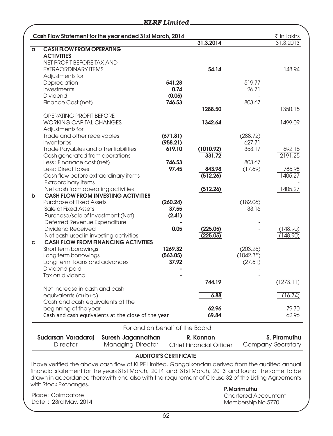|   |                                                                                                                                                                                                                                                                                                                                      | <b>KLRF Limited</b>            |                                             |                                                                  |                                   |
|---|--------------------------------------------------------------------------------------------------------------------------------------------------------------------------------------------------------------------------------------------------------------------------------------------------------------------------------------|--------------------------------|---------------------------------------------|------------------------------------------------------------------|-----------------------------------|
|   | Cash Flow Statement for the year ended 31st March, 2014                                                                                                                                                                                                                                                                              |                                |                                             |                                                                  | ₹ in lakhs                        |
|   |                                                                                                                                                                                                                                                                                                                                      |                                | 31.3.2014                                   |                                                                  | 31.3.2013                         |
| a | <b>CASH FLOW FROM OPERATING</b><br><b>ACTIVITIES</b><br><b>NET PROFIT BEFORE TAX AND</b><br>EXTRAORDINARY ITEMS                                                                                                                                                                                                                      |                                | 54.14                                       |                                                                  | 148.94                            |
|   | Adjustments for<br>Depreciation<br>Investments<br>Dividend                                                                                                                                                                                                                                                                           | 541.28<br>0.74<br>(0.05)       |                                             | 519.77<br>26.71                                                  |                                   |
|   | Finance Cost (net)<br>OPERATING PROFIT BEFORE                                                                                                                                                                                                                                                                                        | 746.53                         | 1288.50                                     | 803.67                                                           | 1350.15                           |
|   | <b>WORKING CAPITAL CHANGES</b><br>Adjustments for                                                                                                                                                                                                                                                                                    |                                | 1342.64                                     |                                                                  | 1499.09                           |
|   | Trade and other receivables<br>Inventories<br>Trade Payables and other liabilities<br>Cash generated from operations                                                                                                                                                                                                                 | (671.81)<br>(958.21)<br>619.10 | (1010.92)<br>331.72                         | (288.72)<br>627.71<br>353.17                                     | 692.16<br>2191.25                 |
|   | Less: Finanace cost (net)<br>Less : Direct Taxes<br>Cash flow before extraordinary items<br><b>Extraordinary Items</b>                                                                                                                                                                                                               | 746.53<br>97.45                | 843.98<br>(512.26)                          | 803.67<br>(17.69)                                                | 785.98<br>1405.27                 |
| b | Net cash from operating activities<br><b>CASH FLOW FROM INVESTING ACTIVITIES</b>                                                                                                                                                                                                                                                     |                                | (512.26)                                    |                                                                  | 1405.27                           |
|   | <b>Purchase of Fixed Assets</b><br>Sale of Fixed Assets<br>Purchase/sale of Investment (Net)<br>Deferred Revenue Expenditure                                                                                                                                                                                                         | (260.24)<br>37.55<br>(2.41)    |                                             | (182.06)<br>33.16                                                |                                   |
| c | Dividend Received<br>Net cash used in investing activities<br><b>CASH FLOW FROM FINANCING ACTIVITIES</b>                                                                                                                                                                                                                             | 0.05                           | (225.05)<br>(225.05)                        |                                                                  | (148.90)<br>(148.90)              |
|   | Short term borowings<br>Long term borrowings<br>Long term loans and advances<br>Dividend paid<br>Tax on dividend                                                                                                                                                                                                                     | 1269.32<br>(563.05)<br>37.92   |                                             | (203.25)<br>(1042.35)<br>(27.51)                                 |                                   |
|   | Net increase in cash and cash<br>equivalents (a+b+c)                                                                                                                                                                                                                                                                                 |                                | 744.19<br>6.88                              |                                                                  | (1273.11)<br>(16.74)              |
|   | Cash and cash equivalents at the<br>beginning of the year<br>Cash and cash equivalents at the close of the year                                                                                                                                                                                                                      |                                | 62.96<br>69.84                              |                                                                  | 79.70<br>62.96                    |
|   |                                                                                                                                                                                                                                                                                                                                      | For and on behalf of the Board |                                             |                                                                  |                                   |
|   | Sudarsan Varadaraj<br>Suresh Jagannathan<br><b>Director</b><br><b>Managing Director</b>                                                                                                                                                                                                                                              |                                | R. Kannan<br><b>Chief Financial Officer</b> |                                                                  | S. Piramuthu<br>Company Secretary |
|   |                                                                                                                                                                                                                                                                                                                                      | <b>AUDITOR'S CERTIFICATE</b>   |                                             |                                                                  |                                   |
|   | I have verified the above cash flow of KLRF Limited, Gangaikondan derived from the audited annual<br>financial statement for the years 31st March, 2014 and 31st March, 2013 and found the same to be<br>drawn in accordance therewith and also with the requirement of Clause 32 of the Listing Agreements<br>with Stock Exchanges. |                                |                                             |                                                                  |                                   |
|   | Place: Coimbatore<br>Date: 23rd May, 2014                                                                                                                                                                                                                                                                                            |                                |                                             | P.Marimuthu<br><b>Chartered Accountant</b><br>Membership No.5770 |                                   |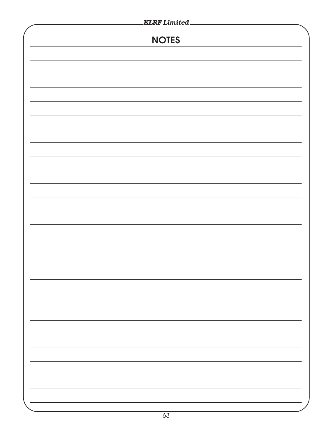| KLRF Limited_ |  |  |  |  |
|---------------|--|--|--|--|
| <b>NOTES</b>  |  |  |  |  |
|               |  |  |  |  |
|               |  |  |  |  |
|               |  |  |  |  |
|               |  |  |  |  |
|               |  |  |  |  |
|               |  |  |  |  |
|               |  |  |  |  |
|               |  |  |  |  |
|               |  |  |  |  |
|               |  |  |  |  |
|               |  |  |  |  |
|               |  |  |  |  |
|               |  |  |  |  |
|               |  |  |  |  |
|               |  |  |  |  |
|               |  |  |  |  |
|               |  |  |  |  |
|               |  |  |  |  |
|               |  |  |  |  |
|               |  |  |  |  |
|               |  |  |  |  |
|               |  |  |  |  |
|               |  |  |  |  |
|               |  |  |  |  |
|               |  |  |  |  |
|               |  |  |  |  |
|               |  |  |  |  |
|               |  |  |  |  |
|               |  |  |  |  |
|               |  |  |  |  |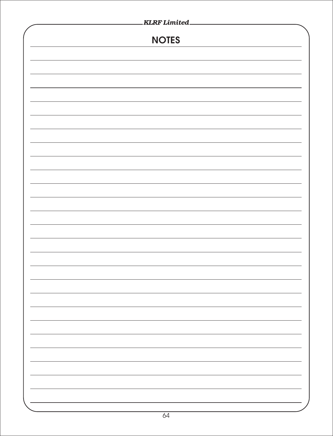| <b>NOTES</b> |
|--------------|
|              |
|              |
|              |
|              |
|              |
|              |
|              |
|              |
|              |
|              |
|              |
|              |
|              |
|              |
|              |
|              |
|              |
|              |
|              |
|              |
|              |
|              |
|              |
|              |
|              |
|              |
|              |
|              |
|              |
|              |
|              |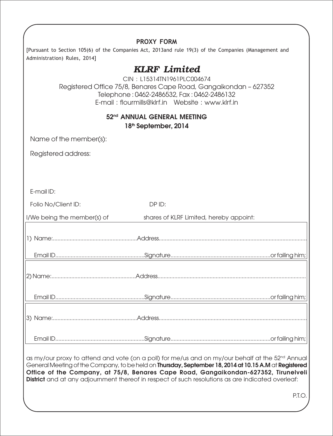|                              | <b>PROXY FORM</b>                                                                                                                                                   |                                                                                                                                                                                                                                                                                                                                                                                                                   |
|------------------------------|---------------------------------------------------------------------------------------------------------------------------------------------------------------------|-------------------------------------------------------------------------------------------------------------------------------------------------------------------------------------------------------------------------------------------------------------------------------------------------------------------------------------------------------------------------------------------------------------------|
| Administration) Rules, 2014] | [Pursuant to Section 105(6) of the Companies Act, 2013and rule 19(3) of the Companies (Management and                                                               |                                                                                                                                                                                                                                                                                                                                                                                                                   |
|                              | <b>KLRF</b> Limited<br>CIN: L15314TN1961PLC004674<br>Registered Office 75/8, Benares Cape Road, Gangaikondan - 627352<br>Telephone: 0462-2486532, Fax: 0462-2486132 |                                                                                                                                                                                                                                                                                                                                                                                                                   |
|                              | 52 <sup>nd</sup> ANNUAL GENERAL MEETING<br>18 <sup>th</sup> September, 2014                                                                                         |                                                                                                                                                                                                                                                                                                                                                                                                                   |
| Name of the member(s):       |                                                                                                                                                                     |                                                                                                                                                                                                                                                                                                                                                                                                                   |
| Registered address:          |                                                                                                                                                                     |                                                                                                                                                                                                                                                                                                                                                                                                                   |
|                              |                                                                                                                                                                     |                                                                                                                                                                                                                                                                                                                                                                                                                   |
| E-mail ID:                   |                                                                                                                                                                     |                                                                                                                                                                                                                                                                                                                                                                                                                   |
| Folio No/Client ID:          | DPID:                                                                                                                                                               |                                                                                                                                                                                                                                                                                                                                                                                                                   |
| I/We being the member(s) of  |                                                                                                                                                                     | shares of KLRF Limited, hereby appoint:                                                                                                                                                                                                                                                                                                                                                                           |
|                              |                                                                                                                                                                     |                                                                                                                                                                                                                                                                                                                                                                                                                   |
|                              |                                                                                                                                                                     |                                                                                                                                                                                                                                                                                                                                                                                                                   |
|                              |                                                                                                                                                                     |                                                                                                                                                                                                                                                                                                                                                                                                                   |
|                              |                                                                                                                                                                     |                                                                                                                                                                                                                                                                                                                                                                                                                   |
|                              |                                                                                                                                                                     |                                                                                                                                                                                                                                                                                                                                                                                                                   |
|                              |                                                                                                                                                                     |                                                                                                                                                                                                                                                                                                                                                                                                                   |
|                              |                                                                                                                                                                     | as my/our proxy to attend and vote (on a poll) for me/us and on my/our behalf at the 52 <sup>nd</sup> Annual<br>General Meeting of the Company, to be held on Thursday, September 18, 2014 at 10.15 A.M at Registered<br>Office of the Company, at 75/8, Benares Cape Road, Gangaikondan-627352, Tirunelveli<br>District and at any adjournment thereof in respect of such resolutions as are indicated overleaf: |
|                              |                                                                                                                                                                     | P.T.O.                                                                                                                                                                                                                                                                                                                                                                                                            |
|                              |                                                                                                                                                                     |                                                                                                                                                                                                                                                                                                                                                                                                                   |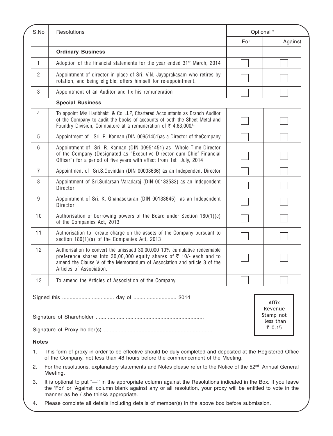| S.No           | Resolutions                                                                                                                                                                                                                                               | Optional * |                                                      |
|----------------|-----------------------------------------------------------------------------------------------------------------------------------------------------------------------------------------------------------------------------------------------------------|------------|------------------------------------------------------|
|                |                                                                                                                                                                                                                                                           | For        | Against                                              |
|                | <b>Ordinary Business</b>                                                                                                                                                                                                                                  |            |                                                      |
| 1              | Adoption of the financial statements for the year ended 31 <sup>st</sup> March, 2014                                                                                                                                                                      |            |                                                      |
| 2              | Appointment of director in place of Sri. V.N. Jayaprakasam who retires by<br>rotation, and being eligible, offers himself for re-appointment.                                                                                                             |            |                                                      |
| 3              | Appointment of an Auditor and fix his remuneration                                                                                                                                                                                                        |            |                                                      |
|                | <b>Special Business</b>                                                                                                                                                                                                                                   |            |                                                      |
| 4              | To appoint M/s Haribhakti & Co LLP, Chartered Accountants as Branch Auditor<br>of the Company to audit the books of accounts of both the Sheet Metal and<br>Foundry Division, Coimbatore at a remuneration of ₹ 4,63,000/-                                |            |                                                      |
| 5              | Appointment of Sri. R. Kannan (DIN 00951451) as a Director of the Company                                                                                                                                                                                 |            |                                                      |
| 6              | Appointment of Sri. R. Kannan (DIN 00951451) as Whole Time Director<br>of the Company (Designated as "Executive Director cum Chief Financial<br>Officer") for a period of five years with effect from 1st July, 2014                                      |            |                                                      |
| $\overline{7}$ | Appointment of Sri.S.Govindan (DIN 00003636) as an Independent Director                                                                                                                                                                                   |            |                                                      |
| 8              | Appointment of Sri. Sudarsan Varadaraj (DIN 00133533) as an Independent<br>Director                                                                                                                                                                       |            |                                                      |
| 9              | Appointment of Sri. K. Gnanasekaran (DIN 00133645) as an Independent<br>Director                                                                                                                                                                          |            |                                                      |
| 10             | Authorisation of borrowing powers of the Board under Section $180(1)(c)$<br>of the Companies Act, 2013                                                                                                                                                    |            |                                                      |
| 11             | Authorisation to create charge on the assets of the Company pursuant to<br>section $180(1)(a)$ of the Companies Act, 2013                                                                                                                                 |            |                                                      |
| 12             | Authorisation to convert the unissued 30,00,000 10% cumulative redeemable<br>preference shares into 30,00,000 equity shares of ₹ 10/- each and to<br>amend the Clause V of the Memorandum of Association and article 3 of the<br>Articles of Association. |            |                                                      |
| 13             | To amend the Articles of Association of the Company.                                                                                                                                                                                                      |            |                                                      |
|                |                                                                                                                                                                                                                                                           |            | Affix<br>Revenue<br>Stamp not<br>less than<br>₹ 0.15 |
| <b>Notes</b>   |                                                                                                                                                                                                                                                           |            |                                                      |
| 1.             | This form of proxy in order to be effective should be duly completed and deposited at the Registered Office                                                                                                                                               |            |                                                      |
|                | of the Company, not less than 48 hours before the commencement of the Meeting.                                                                                                                                                                            |            |                                                      |
| 2.             | For the resolutions, explanatory statements and Notes please refer to the Notice of the 52 <sup>nd</sup> Annual General<br>Meeting.                                                                                                                       |            |                                                      |

- 3. It is optional to put "—'' in the appropriate column against the Resolutions indicated in the Box. If you leave the 'For' or 'Against' column blank against any or all resolution, your proxy will be entitled to vote in the manner as he / she thinks appropriate.
- 4. Please complete all details including details of member(s) in the above box before submission.